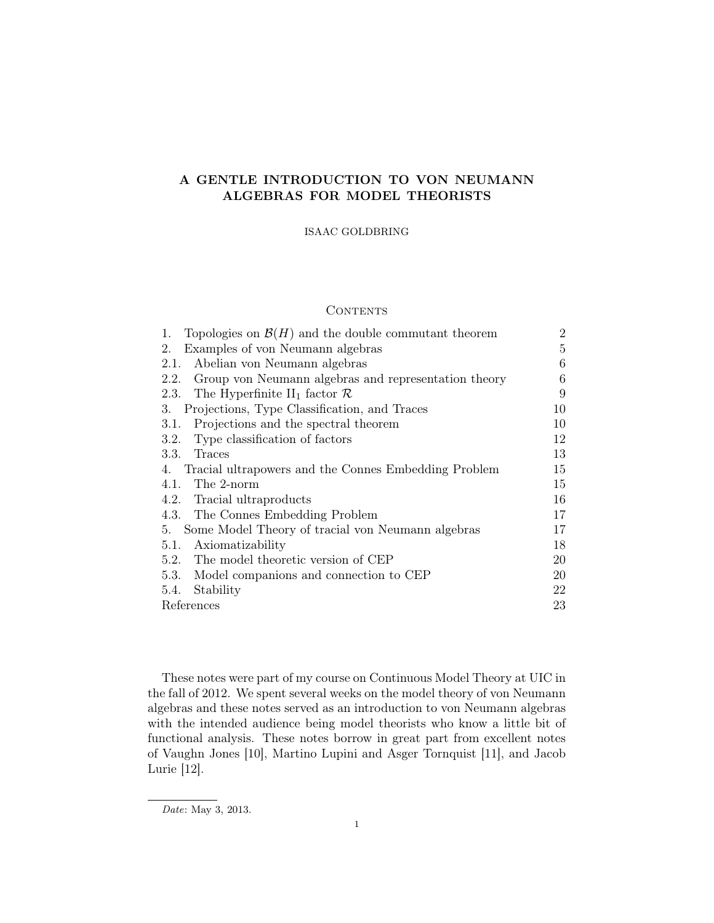# A GENTLE INTRODUCTION TO VON NEUMANN ALGEBRAS FOR MODEL THEORISTS

ISAAC GOLDBRING

# **CONTENTS**

| Topologies on $\mathcal{B}(H)$ and the double commutant theorem<br>1. | $\overline{2}$ |
|-----------------------------------------------------------------------|----------------|
| Examples of von Neumann algebras<br>2.                                | 5              |
| Abelian von Neumann algebras<br>2.1.                                  | 6              |
| Group von Neumann algebras and representation theory<br>2.2.          | 6              |
| The Hyperfinite II <sub>1</sub> factor $\mathcal{R}$<br>2.3.          | 9              |
| Projections, Type Classification, and Traces<br>3.                    | 10             |
| Projections and the spectral theorem<br>3.1.                          | 10             |
| Type classification of factors<br>3.2.                                | 12             |
| 3.3.<br>Traces                                                        | 13             |
| Tracial ultrapowers and the Connes Embedding Problem<br>4.            | 15             |
| The 2-norm<br>4.1.                                                    | 15             |
| 4.2. Tracial ultraproducts                                            | 16             |
| 4.3.<br>The Connes Embedding Problem                                  | 17             |
| Some Model Theory of tracial von Neumann algebras<br>5.               | 17             |
| Axiomatizability<br>5.1.                                              | 18             |
| The model theoretic version of CEP<br>5.2.                            | 20             |
| 5.3.<br>Model companions and connection to CEP                        | 20             |
| Stability<br>5.4.                                                     | 22             |
| References                                                            | 23             |

These notes were part of my course on Continuous Model Theory at UIC in the fall of 2012. We spent several weeks on the model theory of von Neumann algebras and these notes served as an introduction to von Neumann algebras with the intended audience being model theorists who know a little bit of functional analysis. These notes borrow in great part from excellent notes of Vaughn Jones [10], Martino Lupini and Asger Tornquist [11], and Jacob Lurie [12].

Date: May 3, 2013.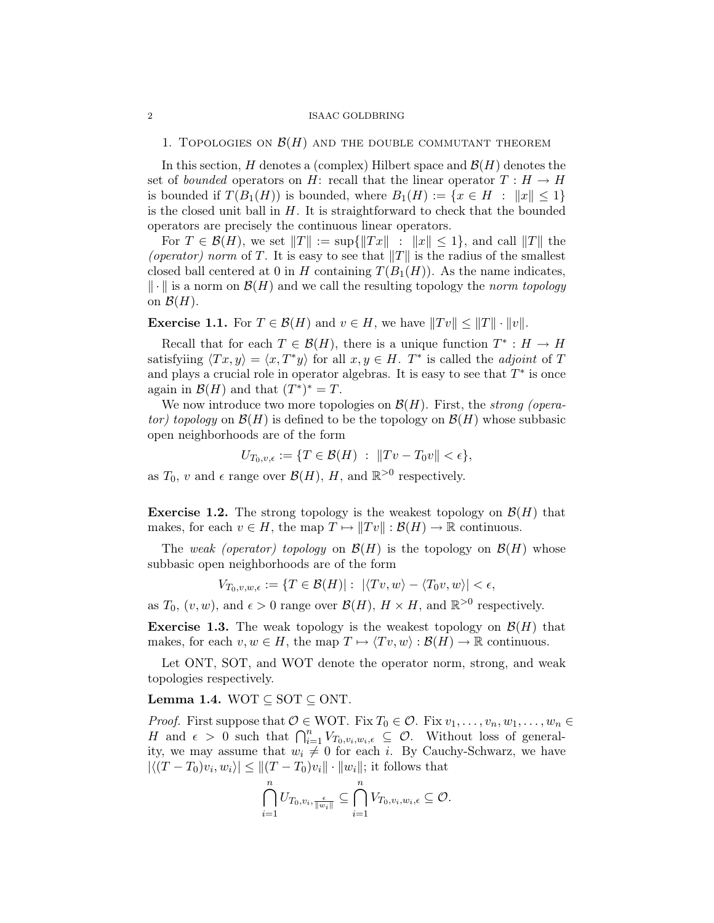## 1. TOPOLOGIES ON  $\mathcal{B}(H)$  and the double commutant theorem

In this section, H denotes a (complex) Hilbert space and  $\mathcal{B}(H)$  denotes the set of bounded operators on H: recall that the linear operator  $T : H \to H$ is bounded if  $T(B_1(H))$  is bounded, where  $B_1(H) := \{x \in H : ||x|| \leq 1\}$ is the closed unit ball in  $H$ . It is straightforward to check that the bounded operators are precisely the continuous linear operators.

For  $T \in \mathcal{B}(H)$ , we set  $||T|| := \sup{||Tx||}$ :  $||x|| \leq 1$ , and call  $||T||$  the (operator) norm of T. It is easy to see that  $||T||$  is the radius of the smallest closed ball centered at 0 in H containing  $T(B_1(H))$ . As the name indicates,  $\Vert \cdot \Vert$  is a norm on  $\mathcal{B}(H)$  and we call the resulting topology the norm topology on  $\mathcal{B}(H)$ .

**Exercise 1.1.** For  $T \in \mathcal{B}(H)$  and  $v \in H$ , we have  $||Tv|| \leq ||T|| \cdot ||v||$ .

Recall that for each  $T \in \mathcal{B}(H)$ , there is a unique function  $T^* : H \to H$ satisfyiing  $\langle Tx, y \rangle = \langle x, T^*y \rangle$  for all  $x, y \in H$ .  $T^*$  is called the *adjoint* of T and plays a crucial role in operator algebras. It is easy to see that  $T^*$  is once again in  $\mathcal{B}(H)$  and that  $(T^*)^* = T$ .

We now introduce two more topologies on  $\mathcal{B}(H)$ . First, the strong (operator) topology on  $\mathcal{B}(H)$  is defined to be the topology on  $\mathcal{B}(H)$  whose subbasic open neighborhoods are of the form

$$
U_{T_0,v,\epsilon} := \{ T \in \mathcal{B}(H) \; : \; \|Tv - T_0v\| < \epsilon \},
$$

as  $T_0$ , v and  $\epsilon$  range over  $\mathcal{B}(H)$ , H, and  $\mathbb{R}^{>0}$  respectively.

**Exercise 1.2.** The strong topology is the weakest topology on  $\mathcal{B}(H)$  that makes, for each  $v \in H$ , the map  $T \mapsto ||Tv|| : \mathcal{B}(H) \to \mathbb{R}$  continuous.

The weak (operator) topology on  $\mathcal{B}(H)$  is the topology on  $\mathcal{B}(H)$  whose subbasic open neighborhoods are of the form

$$
V_{T_0,v,w,\epsilon} := \{ T \in \mathcal{B}(H) | : \ |\langle Tv, w \rangle - \langle T_0v, w \rangle| < \epsilon,
$$

as  $T_0$ ,  $(v, w)$ , and  $\epsilon > 0$  range over  $\mathcal{B}(H)$ ,  $H \times H$ , and  $\mathbb{R}^{>0}$  respectively.

**Exercise 1.3.** The weak topology is the weakest topology on  $\mathcal{B}(H)$  that makes, for each  $v, w \in H$ , the map  $T \mapsto \langle Tv, w \rangle : \mathcal{B}(H) \to \mathbb{R}$  continuous.

Let ONT, SOT, and WOT denote the operator norm, strong, and weak topologies respectively.

# Lemma 1.4. WOT  $\subseteq$  SOT  $\subseteq$  ONT.

*Proof.* First suppose that  $O \in WOT$ . Fix  $T_0 \in O$ . Fix  $v_1, \ldots, v_n, w_1, \ldots, w_n \in$ H and  $\epsilon > 0$  such that  $\bigcap_{i=1}^n V_{T_0,v_i,w_i,\epsilon} \subseteq \mathcal{O}$ . Without loss of generality, we may assume that  $w_i \neq 0$  for each i. By Cauchy-Schwarz, we have  $|\langle (T-T_0)v_i, w_i \rangle| \le ||(T-T_0)v_i|| \cdot ||w_i||$ ; it follows that

$$
\bigcap_{i=1}^n U_{T_0,v_i,\frac{\epsilon}{\|w_i\|}}\subseteq \bigcap_{i=1}^n V_{T_0,v_i,w_i,\epsilon}\subseteq \mathcal{O}.
$$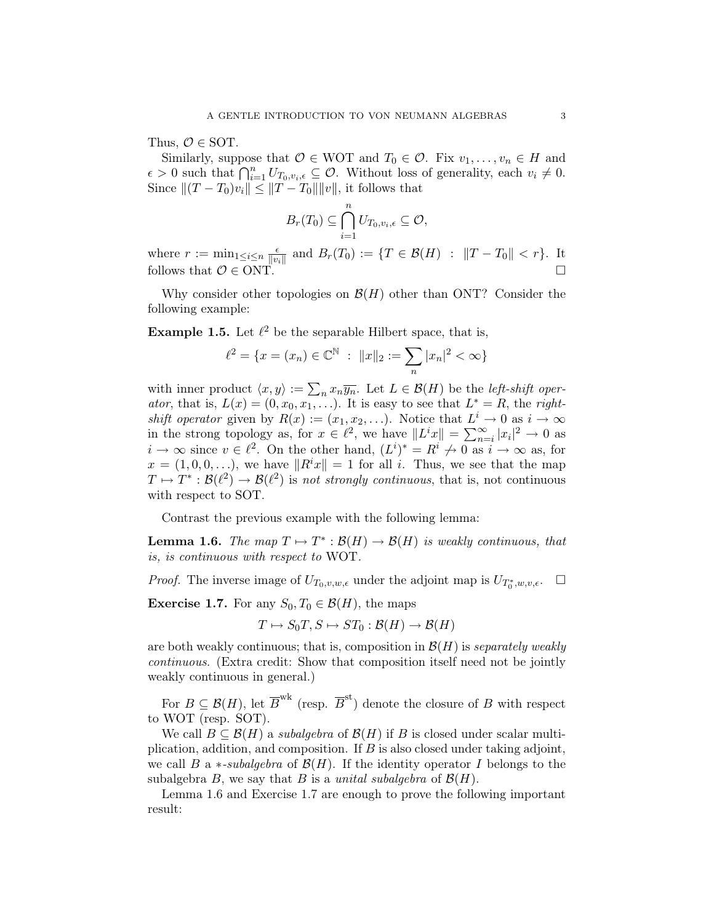Thus,  $\mathcal{O} \in$  SOT.

Similarly, suppose that  $\mathcal{O} \in \text{WOT}$  and  $T_0 \in \mathcal{O}$ . Fix  $v_1, \ldots, v_n \in H$  and  $\epsilon > 0$  such that  $\bigcap_{i=1}^n U_{T_0,v_i,\epsilon} \subseteq \mathcal{O}$ . Without loss of generality, each  $v_i \neq 0$ . Since  $|| (T - T_0)v_i || \le ||T - T_0|| ||v||$ , it follows that

$$
B_r(T_0) \subseteq \bigcap_{i=1}^n U_{T_0,v_i,\epsilon} \subseteq \mathcal{O},
$$

where  $r := \min_{1 \leq i \leq n} \frac{\epsilon}{\|n\|}$  $\frac{\epsilon}{\|v_i\|}$  and  $B_r(T_0) := \{T \in \mathcal{B}(H) : ||T - T_0|| < r\}.$  It follows that  $\mathcal{O} \in \text{ONT}$ .

Why consider other topologies on  $\mathcal{B}(H)$  other than ONT? Consider the following example:

**Example 1.5.** Let  $\ell^2$  be the separable Hilbert space, that is,

$$
\ell^2 = \{x = (x_n) \in \mathbb{C}^{\mathbb{N}} : ||x||_2 := \sum_n |x_n|^2 < \infty\}
$$

with inner product  $\langle x, y \rangle := \sum_n x_n \overline{y_n}$ . Let  $L \in \mathcal{B}(H)$  be the *left-shift oper*ator, that is,  $L(x) = (0, x_0, x_1, ...)$ . It is easy to see that  $L^* = R$ , the rightshift operator given by  $R(x) := (x_1, x_2, \ldots)$ . Notice that  $L^i \to 0$  as  $i \to \infty$ in the strong topology as, for  $x \in \ell^2$ , we have  $||L^i x|| = \sum_{n=i}^{\infty} |x_i|^2 \to 0$  as  $i \to \infty$  since  $v \in \ell^2$ . On the other hand,  $(L^i)^* = R^i \nrightarrow 0$  as  $i \to \infty$  as, for  $x = (1, 0, 0, \ldots)$ , we have  $||R^i x|| = 1$  for all i. Thus, we see that the map  $T \mapsto T^* : \mathcal{B}(\ell^2) \to \mathcal{B}(\ell^2)$  is not strongly continuous, that is, not continuous with respect to SOT.

Contrast the previous example with the following lemma:

**Lemma 1.6.** The map  $T \mapsto T^* : \mathcal{B}(H) \to \mathcal{B}(H)$  is weakly continuous, that is, is continuous with respect to WOT.

*Proof.* The inverse image of  $U_{T_0,v,w,\epsilon}$  under the adjoint map is  $U_{T_0^*,w,v,\epsilon}$ .  $\Box$ 

**Exercise 1.7.** For any  $S_0, T_0 \in \mathcal{B}(H)$ , the maps

$$
T \mapsto S_0T, S \mapsto ST_0 : \mathcal{B}(H) \to \mathcal{B}(H)
$$

are both weakly continuous; that is, composition in  $\mathcal{B}(H)$  is separately weakly continuous. (Extra credit: Show that composition itself need not be jointly weakly continuous in general.)

For  $B \subseteq \mathcal{B}(H)$ , let  $\overline{B}^{\text{wk}}$  (resp.  $\overline{B}^{\text{st}}$ ) denote the closure of B with respect to WOT (resp. SOT).

We call  $B \subseteq \mathcal{B}(H)$  a subalgebra of  $\mathcal{B}(H)$  if B is closed under scalar multiplication, addition, and composition. If  $B$  is also closed under taking adjoint, we call B a  $*$ -subalgebra of  $\mathcal{B}(H)$ . If the identity operator I belongs to the subalgebra B, we say that B is a unital subalgebra of  $\mathcal{B}(H)$ .

Lemma 1.6 and Exercise 1.7 are enough to prove the following important result: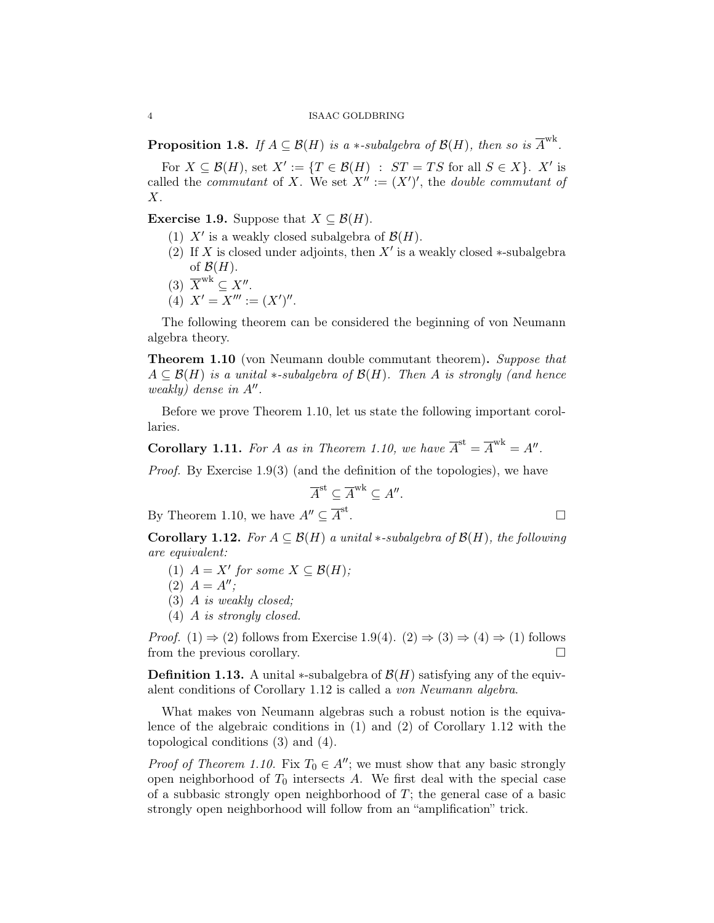**Proposition 1.8.** If  $A \subseteq \mathcal{B}(H)$  is a \*-subalgebra of  $\mathcal{B}(H)$ , then so is  $\overline{A}^{wk}$ .

For  $X \subseteq \mathcal{B}(H)$ , set  $X' := \{T \in \mathcal{B}(H) : ST = TS \text{ for all } S \in X\}$ . X' is called the *commutant* of X. We set  $X'' := (X')'$ , the *double commutant of*  $X$ .

**Exercise 1.9.** Suppose that  $X \subseteq \mathcal{B}(H)$ .

- (1)  $X'$  is a weakly closed subalgebra of  $\mathcal{B}(H)$ .
- (2) If X is closed under adjoints, then  $X'$  is a weakly closed ∗-subalgebra of  $\mathcal{B}(H)$ .
- (3)  $\overline{X}^{\text{wk}} \subseteq X''$ .
- (4)  $X' = X''' := (X')''$ .

The following theorem can be considered the beginning of von Neumann algebra theory.

**Theorem 1.10** (von Neumann double commutant theorem). Suppose that  $A \subseteq \mathcal{B}(H)$  is a unital  $*$ -subalgebra of  $\mathcal{B}(H)$ . Then A is strongly (and hence weakly) dense in  $A''$ .

Before we prove Theorem 1.10, let us state the following important corollaries.

**Corollary 1.11.** For A as in Theorem 1.10, we have  $\overline{A}^{\text{st}} = \overline{A}^{\text{wk}} = A''$ .

Proof. By Exercise 1.9(3) (and the definition of the topologies), we have

$$
\overline{A}^{\text{st}} \subseteq \overline{A}^{\text{wk}} \subseteq A''.
$$

By Theorem 1.10, we have  $A'' \subseteq \overline{A}^{\text{st}}$ 

Corollary 1.12. For  $A \subseteq \mathcal{B}(H)$  a unital  $*$ -subalgebra of  $\mathcal{B}(H)$ , the following are equivalent:

- (1)  $A = X'$  for some  $X \subseteq \mathcal{B}(H)$ ;
- (2)  $A = A''$ ;
- (3) A is weakly closed;
- (4) A is strongly closed.

*Proof.* (1)  $\Rightarrow$  (2) follows from Exercise 1.9(4). (2)  $\Rightarrow$  (3)  $\Rightarrow$  (4)  $\Rightarrow$  (1) follows from the previous corollary.

**Definition 1.13.** A unital  $\ast$ -subalgebra of  $\mathcal{B}(H)$  satisfying any of the equivalent conditions of Corollary 1.12 is called a von Neumann algebra.

What makes von Neumann algebras such a robust notion is the equivalence of the algebraic conditions in (1) and (2) of Corollary 1.12 with the topological conditions (3) and (4).

*Proof of Theorem 1.10.* Fix  $T_0 \in A''$ ; we must show that any basic strongly open neighborhood of  $T_0$  intersects A. We first deal with the special case of a subbasic strongly open neighborhood of  $T$ ; the general case of a basic strongly open neighborhood will follow from an "amplification" trick.

$$
\qquad \qquad \Box
$$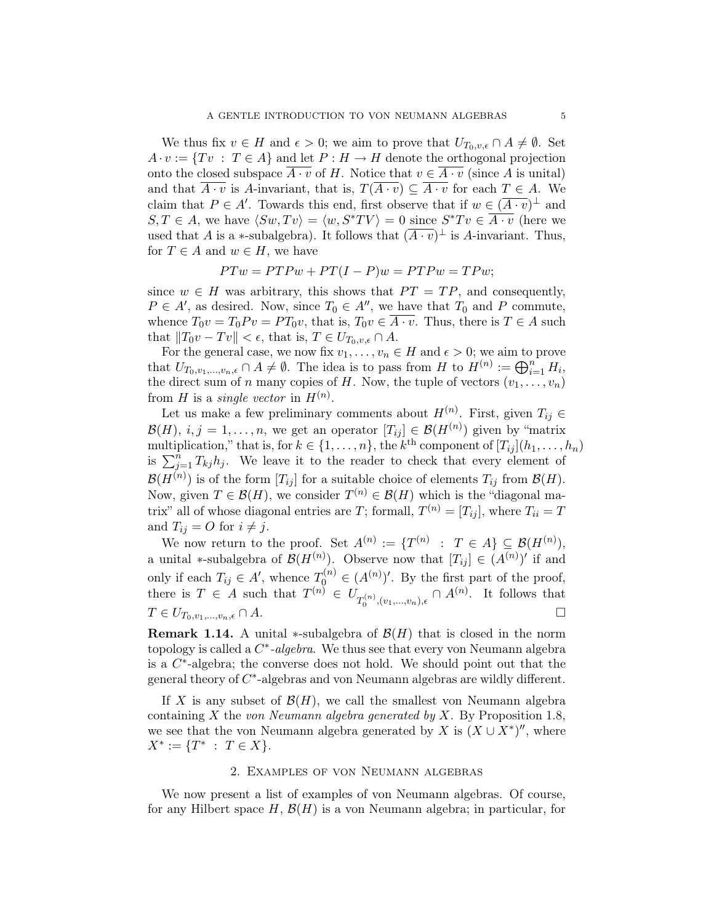We thus fix  $v \in H$  and  $\epsilon > 0$ ; we aim to prove that  $U_{T_0,v,\epsilon} \cap A \neq \emptyset$ . Set  $A \cdot v := \{Tv : T \in A\}$  and let  $P : H \to H$  denote the orthogonal projection onto the closed subspace  $\overline{A \cdot v}$  of H. Notice that  $v \in \overline{A \cdot v}$  (since A is unital) and that  $\overline{A \cdot v}$  is A-invariant, that is,  $T(\overline{A \cdot v}) \subseteq \overline{A \cdot v}$  for each  $T \in A$ . We claim that  $P \in A'$ . Towards this end, first observe that if  $w \in (\overline{A \cdot v})^{\perp}$  and  $S, T \in A$ , we have  $\langle Sw, Tv \rangle = \langle w, S^*TV \rangle = 0$  since  $S^*Tv \in \overline{A \cdot v}$  (here we used that A is a  $\ast$ -subalgebra). It follows that  $(\overline{A \cdot v})^{\perp}$  is A-invariant. Thus, for  $T \in A$  and  $w \in H$ , we have

$$
PTw = PTPw + PT(I - P)w = PTPw = TPw;
$$

since  $w \in H$  was arbitrary, this shows that  $PT = TP$ , and consequently,  $P \in A'$ , as desired. Now, since  $T_0 \in A''$ , we have that  $T_0$  and P commute, whence  $T_0v = T_0Pv = PT_0v$ , that is,  $T_0v \in \overline{A \cdot v}$ . Thus, there is  $T \in A$  such that  $||T_0v - Tv|| < \epsilon$ , that is,  $T \in U_{T_0, v, \epsilon} \cap A$ .

For the general case, we now fix  $v_1, \ldots, v_n \in H$  and  $\epsilon > 0$ ; we aim to prove that  $U_{T_0,v_1,...,v_n,\epsilon} \cap A \neq \emptyset$ . The idea is to pass from H to  $H^{(n)} := \bigoplus_{i=1}^n H_i$ , the direct sum of n many copies of H. Now, the tuple of vectors  $(v_1, \ldots, v_n)$ from H is a *single vector* in  $H^{(n)}$ .

Let us make a few preliminary comments about  $H^{(n)}$ . First, given  $T_{ij} \in$  $\mathcal{B}(H), i, j = 1, \ldots, n$ , we get an operator  $[T_{ij}] \in \mathcal{B}(H^{(n)})$  given by "matrix multiplication," that is, for  $k \in \{1, \ldots, n\}$ , the  $k^{\text{th}}$  component of  $[T_{ij}](h_1, \ldots, h_n)$ is  $\sum_{j=1}^{n} T_{kj}h_j$ . We leave it to the reader to check that every element of  $\mathcal{B}(H^{(n)})$  is of the form  $[T_{ij}]$  for a suitable choice of elements  $T_{ij}$  from  $\mathcal{B}(H)$ . Now, given  $T \in \mathcal{B}(H)$ , we consider  $T^{(n)} \in \mathcal{B}(H)$  which is the "diagonal matrix" all of whose diagonal entries are T; formall,  $T^{(n)} = [T_{ij}]$ , where  $T_{ii} = T$ and  $T_{ij} = O$  for  $i \neq j$ .

We now return to the proof. Set  $A^{(n)} := \{T^{(n)} : T \in A\} \subseteq \mathcal{B}(H^{(n)}),$ a unital \*-subalgebra of  $\mathcal{B}(H^{(n)})$ . Observe now that  $[T_{ij}] \in (A^{(n)})'$  if and only if each  $T_{ij} \in A'$ , whence  $T_0^{(n)} \in (A^{(n)})'$ . By the first part of the proof, there is  $T \in A$  such that  $T^{(n)} \in U_{T_0^{(n)},(v_1,...,v_n),\epsilon} \cap A^{(n)}$ . It follows that  $T \in U_{T_0,v_1,\ldots,v_n,\epsilon} \cap A.$ 

**Remark 1.14.** A unital  $*$ -subalgebra of  $\mathcal{B}(H)$  that is closed in the norm topology is called a  $C^*$ -algebra. We thus see that every von Neumann algebra is a  $C^*$ -algebra; the converse does not hold. We should point out that the general theory of  $C^*$ -algebras and von Neumann algebras are wildly different.

If X is any subset of  $\mathcal{B}(H)$ , we call the smallest von Neumann algebra containing X the von Neumann algebra generated by X. By Proposition 1.8, we see that the von Neumann algebra generated by X is  $(X \cup X^*)''$ , where  $X^* := \{T^* \; : \; T \in X\}.$ 

## 2. Examples of von Neumann algebras

We now present a list of examples of von Neumann algebras. Of course, for any Hilbert space  $H, \mathcal{B}(H)$  is a von Neumann algebra; in particular, for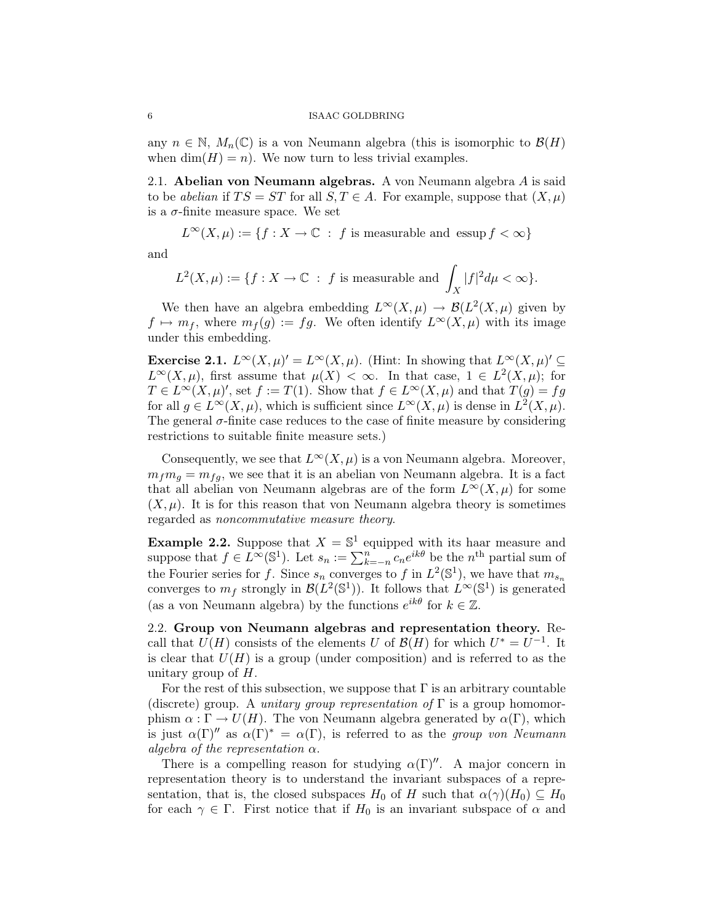any  $n \in \mathbb{N}$ ,  $M_n(\mathbb{C})$  is a von Neumann algebra (this is isomorphic to  $\mathcal{B}(H)$ ) when  $\dim(H) = n$ . We now turn to less trivial examples.

2.1. Abelian von Neumann algebras. A von Neumann algebra  $A$  is said to be abelian if  $TS = ST$  for all  $S, T \in A$ . For example, suppose that  $(X, \mu)$ is a  $\sigma$ -finite measure space. We set

 $L^{\infty}(X,\mu) := \{f : X \to \mathbb{C} : f \text{ is measurable and } \text{essup } f < \infty\}$ 

and

$$
L^2(X,\mu) := \{ f : X \to \mathbb{C} \; : \; f \text{ is measurable and } \int_X |f|^2 d\mu < \infty \}.
$$

We then have an algebra embedding  $L^{\infty}(X,\mu) \to \mathcal{B}(L^2(X,\mu))$  given by  $f \mapsto m_f$ , where  $m_f(g) := fg$ . We often identify  $L^{\infty}(X,\mu)$  with its image under this embedding.

Exercise 2.1.  $L^{\infty}(X,\mu)' = L^{\infty}(X,\mu)$ . (Hint: In showing that  $L^{\infty}(X,\mu)' \subseteq$  $L^{\infty}(X,\mu)$ , first assume that  $\mu(X) < \infty$ . In that case,  $1 \in L^2(X,\mu)$ ; for  $T \in L^{\infty}(X,\mu)'$ , set  $f := T(1)$ . Show that  $f \in L^{\infty}(X,\mu)$  and that  $T(g) = fg$ for all  $g \in L^{\infty}(X, \mu)$ , which is sufficient since  $L^{\infty}(X, \mu)$  is dense in  $L^2(X, \mu)$ . The general  $\sigma$ -finite case reduces to the case of finite measure by considering restrictions to suitable finite measure sets.)

Consequently, we see that  $L^{\infty}(X,\mu)$  is a von Neumann algebra. Moreover,  $m_f m_g = m_{fg}$ , we see that it is an abelian von Neumann algebra. It is a fact that all abelian von Neumann algebras are of the form  $L^{\infty}(X,\mu)$  for some  $(X, \mu)$ . It is for this reason that von Neumann algebra theory is sometimes regarded as noncommutative measure theory.

**Example 2.2.** Suppose that  $X = \mathbb{S}^1$  equipped with its haar measure and suppose that  $f \in L^{\infty}(\mathbb{S}^1)$ . Let  $s_n := \sum_{k=-n}^{n} c_n e^{ik\theta}$  be the  $n^{\text{th}}$  partial sum of the Fourier series for f. Since  $s_n$  converges to f in  $L^2(\mathbb{S}^1)$ , we have that  $m_{s_n}$ converges to  $m_f$  strongly in  $\mathcal{B}(L^2(\mathbb{S}^1))$ . It follows that  $L^{\infty}(\mathbb{S}^1)$  is generated (as a von Neumann algebra) by the functions  $e^{ik\theta}$  for  $k \in \mathbb{Z}$ .

2.2. Group von Neumann algebras and representation theory. Recall that  $U(H)$  consists of the elements U of  $\mathcal{B}(H)$  for which  $U^* = U^{-1}$ . It is clear that  $U(H)$  is a group (under composition) and is referred to as the unitary group of  $H$ .

For the rest of this subsection, we suppose that  $\Gamma$  is an arbitrary countable (discrete) group. A *unitary group representation of*  $\Gamma$  is a group homomorphism  $\alpha : \Gamma \to U(H)$ . The von Neumann algebra generated by  $\alpha(\Gamma)$ , which is just  $\alpha(\Gamma)^n$  as  $\alpha(\Gamma)^* = \alpha(\Gamma)$ , is referred to as the group von Neumann algebra of the representation  $\alpha$ .

There is a compelling reason for studying  $\alpha(\Gamma)$ ". A major concern in representation theory is to understand the invariant subspaces of a representation, that is, the closed subspaces  $H_0$  of H such that  $\alpha(\gamma)(H_0) \subseteq H_0$ for each  $\gamma \in \Gamma$ . First notice that if  $H_0$  is an invariant subspace of  $\alpha$  and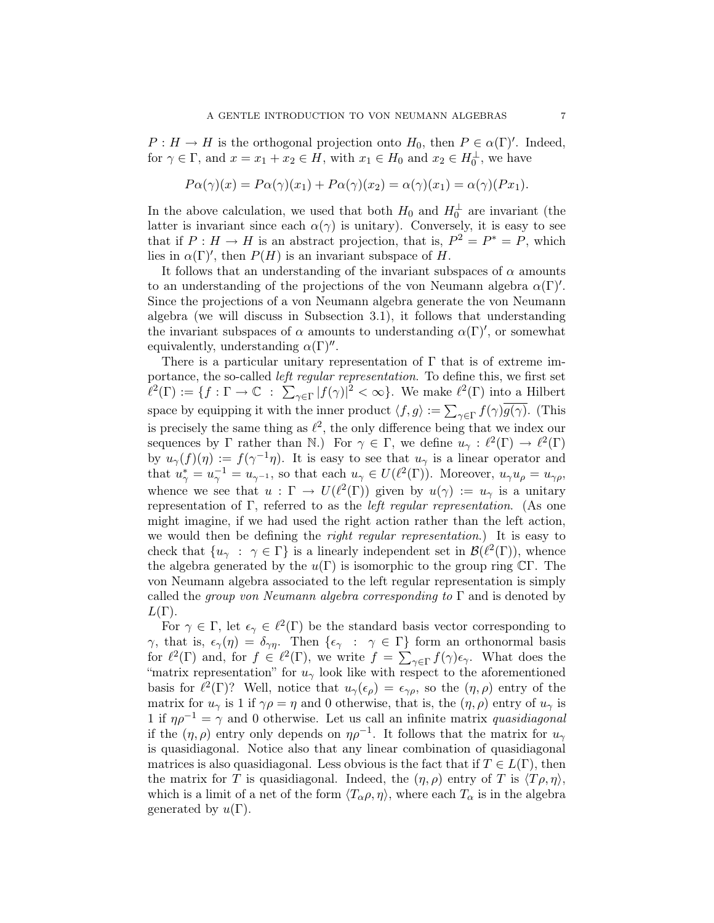$P: H \to H$  is the orthogonal projection onto  $H_0$ , then  $P \in \alpha(\Gamma)'$ . Indeed, for  $\gamma \in \Gamma$ , and  $x = x_1 + x_2 \in H$ , with  $x_1 \in H_0$  and  $x_2 \in H_0^{\perp}$ , we have

$$
P\alpha(\gamma)(x) = P\alpha(\gamma)(x_1) + P\alpha(\gamma)(x_2) = \alpha(\gamma)(x_1) = \alpha(\gamma)(Px_1).
$$

In the above calculation, we used that both  $H_0$  and  $H_0^{\perp}$  are invariant (the latter is invariant since each  $\alpha(\gamma)$  is unitary). Conversely, it is easy to see that if  $P: H \to H$  is an abstract projection, that is,  $P^2 = P^* = P$ , which lies in  $\alpha(\Gamma)'$ , then  $P(H)$  is an invariant subspace of H.

It follows that an understanding of the invariant subspaces of  $\alpha$  amounts to an understanding of the projections of the von Neumann algebra  $\alpha(\Gamma)'$ . Since the projections of a von Neumann algebra generate the von Neumann algebra (we will discuss in Subsection 3.1), it follows that understanding the invariant subspaces of  $\alpha$  amounts to understanding  $\alpha(\Gamma)'$ , or somewhat equivalently, understanding  $\alpha(\Gamma)''$ .

There is a particular unitary representation of  $\Gamma$  that is of extreme importance, the so-called left regular representation. To define this, we first set  $\ell^2(\Gamma) := \{f : \Gamma \to \mathbb{C} \text{ : } \sum_{\gamma \in \Gamma} |f(\gamma)|^2 < \infty \}.$  We make  $\ell^2(\Gamma)$  into a Hilbert space by equipping it with the inner product  $\langle f, g \rangle := \sum_{\gamma \in \Gamma} f(\gamma) g(\gamma)$ . (This is precisely the same thing as  $\ell^2$ , the only difference being that we index our sequences by  $\Gamma$  rather than N.) For  $\gamma \in \Gamma$ , we define  $u_{\gamma}: \ell^2(\Gamma) \to \ell^2(\Gamma)$ by  $u_{\gamma}(f)(\eta) := f(\gamma^{-1}\eta)$ . It is easy to see that  $u_{\gamma}$  is a linear operator and that  $u_{\gamma}^* = u_{\gamma}^{-1} = u_{\gamma^{-1}}$ , so that each  $u_{\gamma} \in U(\ell^2(\Gamma))$ . Moreover,  $u_{\gamma}u_{\rho} = u_{\gamma\rho}$ , whence we see that  $u : \Gamma \to U(\ell^2(\Gamma))$  given by  $u(\gamma) := u_\gamma$  is a unitary representation of Γ, referred to as the *left regular representation*. (As one might imagine, if we had used the right action rather than the left action, we would then be defining the *right regular representation*.) It is easy to check that  $\{u_\gamma : \gamma \in \Gamma\}$  is a linearly independent set in  $\mathcal{B}(\ell^2(\Gamma))$ , whence the algebra generated by the  $u(\Gamma)$  is isomorphic to the group ring  $\mathbb{C}\Gamma$ . The von Neumann algebra associated to the left regular representation is simply called the group von Neumann algebra corresponding to  $\Gamma$  and is denoted by  $L(\Gamma)$ .

For  $\gamma \in \Gamma$ , let  $\epsilon_{\gamma} \in \ell^2(\Gamma)$  be the standard basis vector corresponding to  $\gamma$ , that is,  $\epsilon_{\gamma}(\eta) = \delta_{\gamma\eta}$ . Then  $\{\epsilon_{\gamma} : \gamma \in \Gamma\}$  form an orthonormal basis for  $\ell^2(\Gamma)$  and, for  $f \in \ell^2(\Gamma)$ , we write  $f = \sum_{\gamma \in \Gamma} f(\gamma) \epsilon_{\gamma}$ . What does the "matrix representation" for  $u_{\gamma}$  look like with respect to the aforementioned basis for  $\ell^2(\Gamma)$ ? Well, notice that  $u_\gamma(\epsilon_\rho) = \epsilon_{\gamma\rho}$ , so the  $(\eta, \rho)$  entry of the matrix for  $u_{\gamma}$  is 1 if  $\gamma \rho = \eta$  and 0 otherwise, that is, the  $(\eta, \rho)$  entry of  $u_{\gamma}$  is 1 if  $\eta \rho^{-1} = \gamma$  and 0 otherwise. Let us call an infinite matrix quasidiagonal if the  $(\eta, \rho)$  entry only depends on  $\eta \rho^{-1}$ . It follows that the matrix for  $u_{\gamma}$ is quasidiagonal. Notice also that any linear combination of quasidiagonal matrices is also quasidiagonal. Less obvious is the fact that if  $T \in L(\Gamma)$ , then the matrix for T is quasidiagonal. Indeed, the  $(\eta, \rho)$  entry of T is  $\langle T\rho, \eta \rangle$ , which is a limit of a net of the form  $\langle T_{\alpha}\rho, \eta \rangle$ , where each  $T_{\alpha}$  is in the algebra generated by  $u(\Gamma)$ .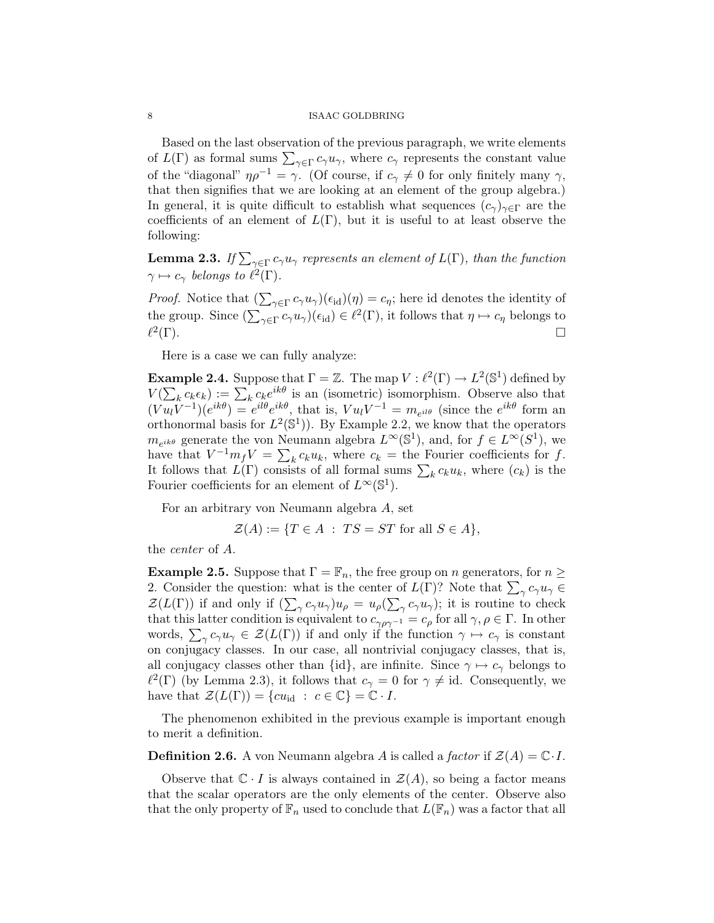Based on the last observation of the previous paragraph, we write elements of  $L(\Gamma)$  as formal sums  $\sum_{\gamma \in \Gamma} c_{\gamma} u_{\gamma}$ , where  $c_{\gamma}$  represents the constant value of the "diagonal"  $\eta \rho^{-1} = \gamma$ . (Of course, if  $c_{\gamma} \neq 0$  for only finitely many  $\gamma$ , that then signifies that we are looking at an element of the group algebra.) In general, it is quite difficult to establish what sequences  $(c_{\gamma})_{\gamma \in \Gamma}$  are the coefficients of an element of  $L(\Gamma)$ , but it is useful to at least observe the following:

**Lemma 2.3.** If  $\sum_{\gamma \in \Gamma} c_{\gamma} u_{\gamma}$  represents an element of  $L(\Gamma)$ , than the function  $\gamma \mapsto c_{\gamma}$  belongs to  $\ell^{2}(\Gamma)$ .

*Proof.* Notice that  $(\sum_{\gamma \in \Gamma} c_{\gamma} u_{\gamma})(\epsilon_{\text{id}})(\eta) = c_{\eta}$ ; here id denotes the identity of the group. Since  $(\sum_{\gamma \in \Gamma} c_{\gamma} u_{\gamma})(\epsilon_{\text{id}}) \in \ell^2(\Gamma)$ , it follows that  $\eta \mapsto c_{\eta}$  belongs to  $\ell^2$ (Γ).

Here is a case we can fully analyze:

**Example 2.4.** Suppose that  $\Gamma = \mathbb{Z}$ . The map  $V : \ell^2(\Gamma) \to L^2(\mathbb{S}^1)$  defined by  $V(\sum_{k} c_{k} \epsilon_{k}) := \sum_{k} c_{k} e^{ik\theta}$  is an (isometric) isomorphism. Observe also that  $(Vu_lV^{-1})(e^{ik\theta}) = e^{il\theta}e^{ik\theta}$ , that is,  $Vu_lV^{-1} = m_{e^{il\theta}}$  (since the  $e^{ik\theta}$  form an orthonormal basis for  $L^2(\mathbb{S}^1)$ . By Example 2.2, we know that the operators  $m_{e^{ik\theta}}$  generate the von Neumann algebra  $L^{\infty}(\mathbb{S}^{1}),$  and, for  $f \in L^{\infty}(S^{1}),$  we have that  $V^{-1}m_fV = \sum_k c_k u_k$ , where  $c_k =$  the Fourier coefficients for f. It follows that  $L(\Gamma)$  consists of all formal sums  $\sum_k c_k u_k$ , where  $(c_k)$  is the Fourier coefficients for an element of  $L^{\infty}(\mathbb{S}^1)$ .

For an arbitrary von Neumann algebra A, set

$$
\mathcal{Z}(A) := \{ T \in A \; : \; TS = ST \text{ for all } S \in A \},
$$

the center of A.

**Example 2.5.** Suppose that  $\Gamma = \mathbb{F}_n$ , the free group on n generators, for  $n \geq$ 2. Consider the question: what is the center of  $L(\Gamma)$ ? Note that  $\sum_{\gamma} c_{\gamma} u_{\gamma} \in$  $\mathcal{Z}(L(\Gamma))$  if and only if  $(\sum_{\gamma} c_{\gamma} u_{\gamma}) u_{\rho} = u_{\rho}(\sum_{\gamma} c_{\gamma} u_{\gamma})$ ; it is routine to check that this latter condition is equivalent to  $c_{\gamma\rho\gamma^{-1}} = c_{\rho}$  for all  $\gamma, \rho \in \Gamma$ . In other words,  $\sum_{\gamma} c_{\gamma} u_{\gamma} \in \mathcal{Z}(L(\Gamma))$  if and only if the function  $\gamma \mapsto c_{\gamma}$  is constant on conjugacy classes. In our case, all nontrivial conjugacy classes, that is, all conjugacy classes other than  $\{id\}$ , are infinite. Since  $\gamma \mapsto c_{\gamma}$  belongs to  $\ell^2(\Gamma)$  (by Lemma 2.3), it follows that  $c_\gamma = 0$  for  $\gamma \neq id$ . Consequently, we have that  $\mathcal{Z}(L(\Gamma)) = \{cu_{\text{id}} : c \in \mathbb{C}\} = \mathbb{C} \cdot I$ .

The phenomenon exhibited in the previous example is important enough to merit a definition.

**Definition 2.6.** A von Neumann algebra A is called a factor if  $\mathcal{Z}(A) = \mathbb{C} \cdot I$ .

Observe that  $\mathbb{C} \cdot I$  is always contained in  $\mathcal{Z}(A)$ , so being a factor means that the scalar operators are the only elements of the center. Observe also that the only property of  $\mathbb{F}_n$  used to conclude that  $L(\mathbb{F}_n)$  was a factor that all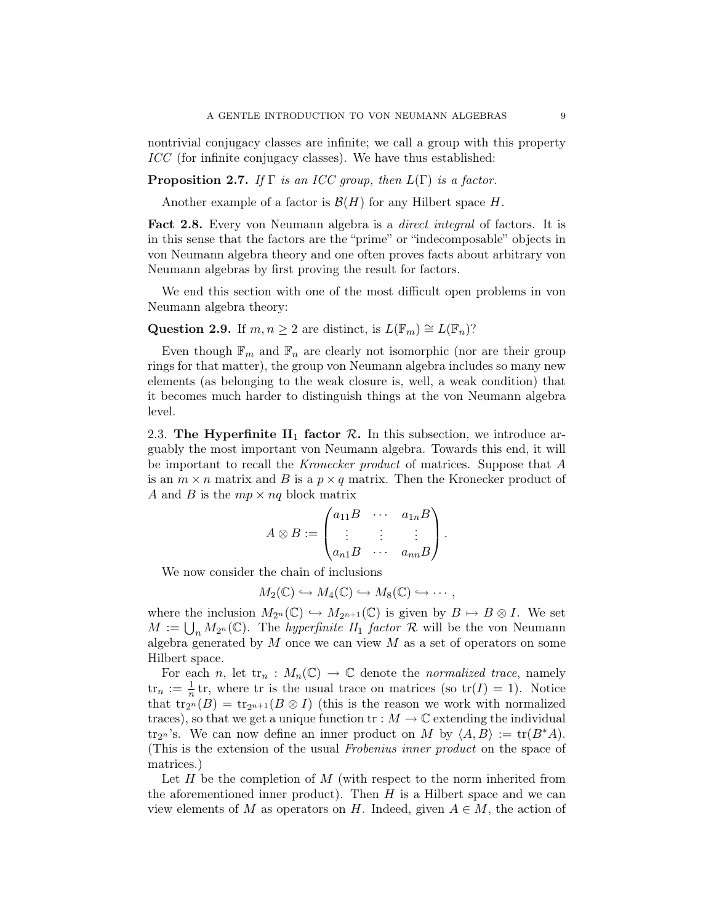nontrivial conjugacy classes are infinite; we call a group with this property ICC (for infinite conjugacy classes). We have thus established:

# **Proposition 2.7.** If  $\Gamma$  is an ICC group, then  $L(\Gamma)$  is a factor.

Another example of a factor is  $\mathcal{B}(H)$  for any Hilbert space H.

Fact 2.8. Every von Neumann algebra is a *direct integral* of factors. It is in this sense that the factors are the "prime" or "indecomposable" objects in von Neumann algebra theory and one often proves facts about arbitrary von Neumann algebras by first proving the result for factors.

We end this section with one of the most difficult open problems in von Neumann algebra theory:

# Question 2.9. If  $m, n \geq 2$  are distinct, is  $L(\mathbb{F}_m) \cong L(\mathbb{F}_n)$ ?

Even though  $\mathbb{F}_m$  and  $\mathbb{F}_n$  are clearly not isomorphic (nor are their group rings for that matter), the group von Neumann algebra includes so many new elements (as belonging to the weak closure is, well, a weak condition) that it becomes much harder to distinguish things at the von Neumann algebra level.

2.3. The Hyperfinite  $II_1$  factor  $R$ . In this subsection, we introduce arguably the most important von Neumann algebra. Towards this end, it will be important to recall the Kronecker product of matrices. Suppose that A is an  $m \times n$  matrix and B is a  $p \times q$  matrix. Then the Kronecker product of A and B is the  $mp \times nq$  block matrix

$$
A \otimes B := \begin{pmatrix} a_{11}B & \cdots & a_{1n}B \\ \vdots & \vdots & \vdots \\ a_{n1}B & \cdots & a_{nn}B \end{pmatrix}.
$$

We now consider the chain of inclusions

$$
M_2(\mathbb{C}) \hookrightarrow M_4(\mathbb{C}) \hookrightarrow M_8(\mathbb{C}) \hookrightarrow \cdots,
$$

where the inclusion  $M_{2^n}(\mathbb{C}) \hookrightarrow M_{2^{n+1}}(\mathbb{C})$  is given by  $B \mapsto B \otimes I$ . We set  $M := \bigcup_n M_{2^n}(\mathbb{C})$ . The *hyperfinite*  $H_1$  *factor*  $\mathcal R$  will be the von Neumann algebra generated by  $M$  once we can view  $M$  as a set of operators on some Hilbert space.

For each n, let  $\text{tr}_n : M_n(\mathbb{C}) \to \mathbb{C}$  denote the normalized trace, namely  $\operatorname{tr}_n := \frac{1}{n} \operatorname{tr}$ , where  $\operatorname{tr}$  is the usual trace on matrices (so  $\operatorname{tr}(I) = 1$ ). Notice that tr<sub>2n</sub>  $(B) = \text{tr}_{2^{n+1}}(B \otimes I)$  (this is the reason we work with normalized traces), so that we get a unique function  $\operatorname{tr}:M\to\mathbb{C}$  extending the individual tr<sub>2n</sub>'s. We can now define an inner product on M by  $\langle A, B \rangle := \text{tr}(B^*A)$ . (This is the extension of the usual Frobenius inner product on the space of matrices.)

Let  $H$  be the completion of  $M$  (with respect to the norm inherited from the aforementioned inner product). Then  $H$  is a Hilbert space and we can view elements of M as operators on H. Indeed, given  $A \in M$ , the action of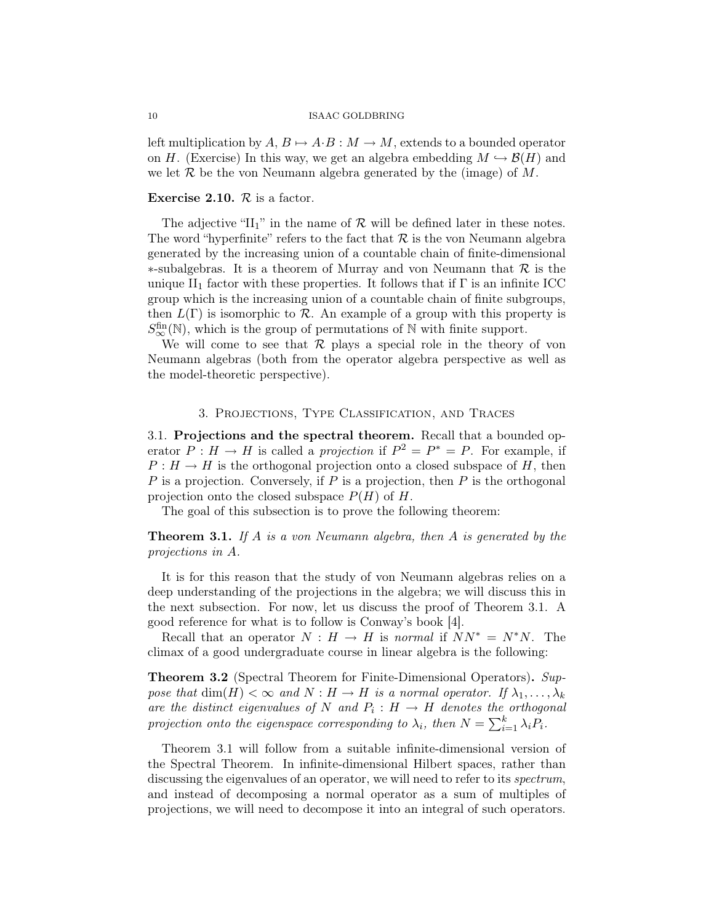left multiplication by  $A, B \mapsto A \cdot B : M \to M$ , extends to a bounded operator on H. (Exercise) In this way, we get an algebra embedding  $M \hookrightarrow \mathcal{B}(H)$  and we let  $\mathcal R$  be the von Neumann algebra generated by the (image) of  $M$ .

# Exercise 2.10.  $R$  is a factor.

The adjective "II<sub>1</sub>" in the name of  $\mathcal R$  will be defined later in these notes. The word "hyperfinite" refers to the fact that  $R$  is the von Neumann algebra generated by the increasing union of a countable chain of finite-dimensional ∗-subalgebras. It is a theorem of Murray and von Neumann that R is the unique  $II_1$  factor with these properties. It follows that if  $\Gamma$  is an infinite ICC group which is the increasing union of a countable chain of finite subgroups, then  $L(\Gamma)$  is isomorphic to  $\mathcal R$ . An example of a group with this property is  $S^{\text{fin}}_{\infty}(\mathbb{N})$ , which is the group of permutations of N with finite support.

We will come to see that  $\mathcal R$  plays a special role in the theory of von Neumann algebras (both from the operator algebra perspective as well as the model-theoretic perspective).

## 3. Projections, Type Classification, and Traces

3.1. Projections and the spectral theorem. Recall that a bounded operator  $P: H \to H$  is called a projection if  $P^2 = P^* = P$ . For example, if  $P: H \to H$  is the orthogonal projection onto a closed subspace of H, then  $P$  is a projection. Conversely, if  $P$  is a projection, then  $P$  is the orthogonal projection onto the closed subspace  $P(H)$  of H.

The goal of this subsection is to prove the following theorem:

**Theorem 3.1.** If A is a von Neumann algebra, then A is generated by the projections in A.

It is for this reason that the study of von Neumann algebras relies on a deep understanding of the projections in the algebra; we will discuss this in the next subsection. For now, let us discuss the proof of Theorem 3.1. A good reference for what is to follow is Conway's book [4].

Recall that an operator  $N : H \to H$  is normal if  $NN^* = N^*N$ . The climax of a good undergraduate course in linear algebra is the following:

**Theorem 3.2** (Spectral Theorem for Finite-Dimensional Operators). Suppose that  $\dim(H) < \infty$  and  $N : H \to H$  is a normal operator. If  $\lambda_1, \ldots, \lambda_k$ are the distinct eigenvalues of N and  $P_i: H \to H$  denotes the orthogonal projection onto the eigenspace corresponding to  $\lambda_i$ , then  $N = \sum_{i=1}^k \lambda_i P_i$ .

Theorem 3.1 will follow from a suitable infinite-dimensional version of the Spectral Theorem. In infinite-dimensional Hilbert spaces, rather than discussing the eigenvalues of an operator, we will need to refer to its *spectrum*, and instead of decomposing a normal operator as a sum of multiples of projections, we will need to decompose it into an integral of such operators.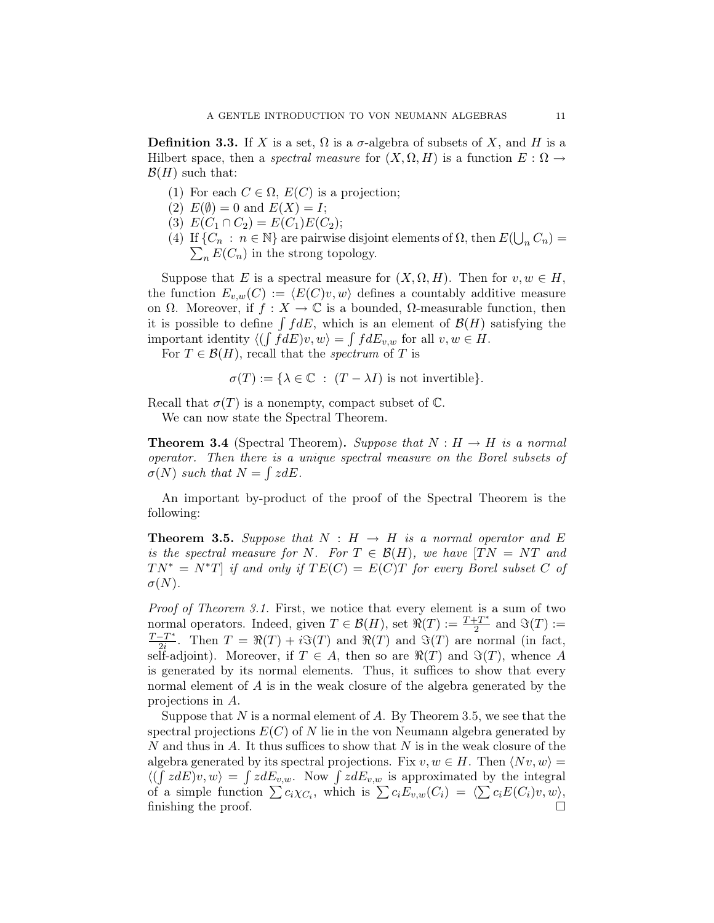**Definition 3.3.** If X is a set,  $\Omega$  is a  $\sigma$ -algebra of subsets of X, and H is a Hilbert space, then a *spectral measure* for  $(X, \Omega, H)$  is a function  $E : \Omega \to$  $\mathcal{B}(H)$  such that:

- (1) For each  $C \in \Omega$ ,  $E(C)$  is a projection;
- (2)  $E(\emptyset) = 0$  and  $E(X) = I$ ;
- (3)  $E(C_1 \cap C_2) = E(C_1)E(C_2);$
- (4) If  $\{C_n : n \in \mathbb{N}\}$  are pairwise disjoint elements of  $\Omega$ , then  $E(\bigcup_n C_n) = \sum_n E(C_n)$  in the strong topology.  $\sum_n E(C_n)$  in the strong topology.

Suppose that E is a spectral measure for  $(X, \Omega, H)$ . Then for  $v, w \in H$ , the function  $E_{v,w}(C) := \langle E(C)v, w \rangle$  defines a countably additive measure on  $\Omega$ . Moreover, if  $f: X \to \mathbb{C}$  is a bounded,  $\Omega$ -measurable function, then it is possible to define  $\int f dE$ , which is an element of  $\mathcal{B}(H)$  satisfying the important identity  $\langle (\int f dE)v, w \rangle = \int f dE_{v,w}$  for all  $v, w \in H$ .

For  $T \in \mathcal{B}(H)$ , recall that the *spectrum* of T is

$$
\sigma(T) := \{ \lambda \in \mathbb{C} : (T - \lambda I) \text{ is not invertible} \}.
$$

Recall that  $\sigma(T)$  is a nonempty, compact subset of  $\mathbb C$ .

We can now state the Spectral Theorem.

**Theorem 3.4** (Spectral Theorem). Suppose that  $N : H \to H$  is a normal operator. Then there is a unique spectral measure on the Borel subsets of  $\sigma(N)$  such that  $N = \int z dE$ .

An important by-product of the proof of the Spectral Theorem is the following:

**Theorem 3.5.** Suppose that  $N : H \rightarrow H$  is a normal operator and E is the spectral measure for N. For  $T \in \mathcal{B}(H)$ , we have  $|TN = NT$  and  $TN^* = N^*T$  if and only if  $TE(C) = E(C)T$  for every Borel subset C of  $\sigma(N)$ .

Proof of Theorem 3.1. First, we notice that every element is a sum of two normal operators. Indeed, given  $T \in \mathcal{B}(H)$ , set  $\mathbb{R}(T) := \frac{T + T^*}{2}$  $\frac{2^{T^*}}{2}$  and  $\Im(T) :=$  $T-T^*$  $\frac{-T}{2i}$ . Then  $T = \Re(T) + i\Im(T)$  and  $\Re(T)$  and  $\Im(T)$  are normal (in fact, self-adjoint). Moreover, if  $T \in A$ , then so are  $\Re(T)$  and  $\Im(T)$ , whence A is generated by its normal elements. Thus, it suffices to show that every normal element of A is in the weak closure of the algebra generated by the projections in A.

Suppose that N is a normal element of A. By Theorem 3.5, we see that the spectral projections  $E(C)$  of N lie in the von Neumann algebra generated by N and thus in A. It thus suffices to show that  $N$  is in the weak closure of the algebra generated by its spectral projections. Fix  $v, w \in H$ . Then  $\langle Nv, w \rangle =$  $\langle (\int z dE)v, w \rangle = \int z dE_{v,w}$ . Now  $\int z dE_{v,w}$  is approximated by the integral of a simple function  $\sum c_i \chi_{C_i}$ , which is  $\sum c_i E_{v,w}(C_i) = \langle \sum c_i E(C_i) v, w \rangle$ , finishing the proof.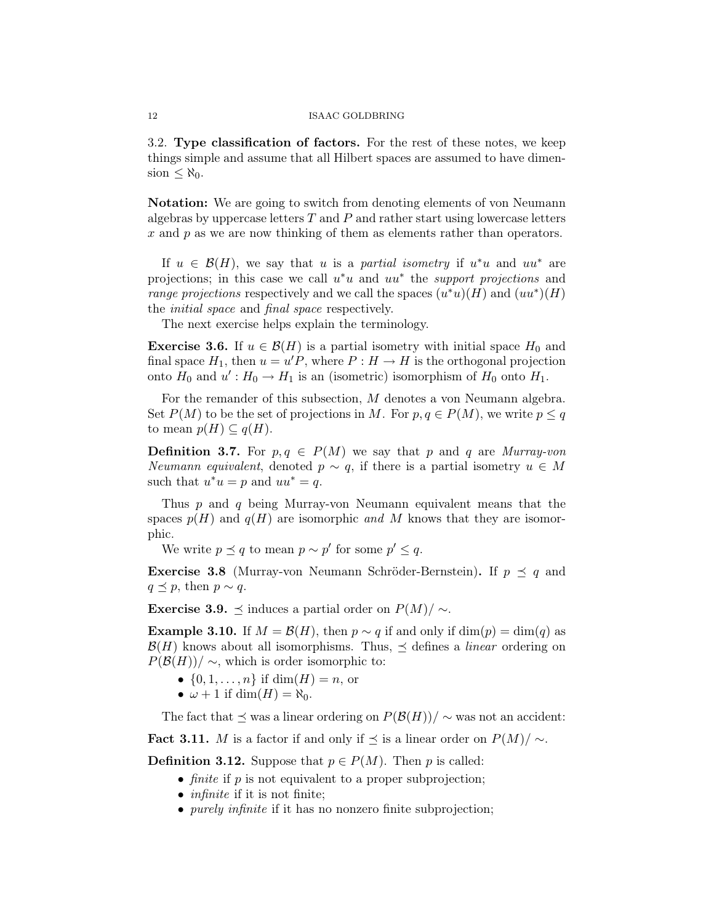3.2. Type classification of factors. For the rest of these notes, we keep things simple and assume that all Hilbert spaces are assumed to have dimension  $\leq \aleph_0$ .

Notation: We are going to switch from denoting elements of von Neumann algebras by uppercase letters  $T$  and  $P$  and rather start using lowercase letters x and p as we are now thinking of them as elements rather than operators.

If  $u \in \mathcal{B}(H)$ , we say that u is a partial isometry if  $u^*u$  and  $uu^*$  are projections; in this case we call  $u^*u$  and  $uu^*$  the *support projections* and range projections respectively and we call the spaces  $(u^*u)(H)$  and  $(uu^*)(H)$ the initial space and final space respectively.

The next exercise helps explain the terminology.

**Exercise 3.6.** If  $u \in \mathcal{B}(H)$  is a partial isometry with initial space  $H_0$  and final space  $H_1$ , then  $u = u'P$ , where  $P : H \to H$  is the orthogonal projection onto  $H_0$  and  $u' : H_0 \to H_1$  is an (isometric) isomorphism of  $H_0$  onto  $H_1$ .

For the remander of this subsection, M denotes a von Neumann algebra. Set  $P(M)$  to be the set of projections in M. For  $p, q \in P(M)$ , we write  $p \leq q$ to mean  $p(H) \subseteq q(H)$ .

**Definition 3.7.** For  $p, q \in P(M)$  we say that p and q are Murray-von Neumann equivalent, denoted  $p \sim q$ , if there is a partial isometry  $u \in M$ such that  $u^*u = p$  and  $uu^* = q$ .

Thus p and q being Murray-von Neumann equivalent means that the spaces  $p(H)$  and  $q(H)$  are isomorphic and M knows that they are isomorphic.

We write  $p \preceq q$  to mean  $p \sim p'$  for some  $p' \leq q$ .

**Exercise 3.8** (Murray-von Neumann Schröder-Bernstein). If  $p \leq q$  and  $q \preceq p$ , then  $p \sim q$ .

**Exercise 3.9.**  $\preceq$  induces a partial order on  $P(M)/ \sim$ .

**Example 3.10.** If  $M = \mathcal{B}(H)$ , then  $p \sim q$  if and only if  $\dim(p) = \dim(q)$  as  $\mathcal{B}(H)$  knows about all isomorphisms. Thus,  $\preceq$  defines a *linear* ordering on  $P(\mathcal{B}(H))/\sim$ , which is order isomorphic to:

- $\{0, 1, ..., n\}$  if  $\dim(H) = n$ , or
- $\omega + 1$  if dim(H) =  $\aleph_0$ .

The fact that  $\preceq$  was a linear ordering on  $P(\mathcal{B}(H))/\sim$  was not an accident:

Fact 3.11. M is a factor if and only if  $\preceq$  is a linear order on  $P(M)/\sim$ .

**Definition 3.12.** Suppose that  $p \in P(M)$ . Then p is called:

- *finite* if  $p$  is not equivalent to a proper subprojection;
- $\bullet$  *infinite* if it is not finite;
- *purely infinite* if it has no nonzero finite subprojection;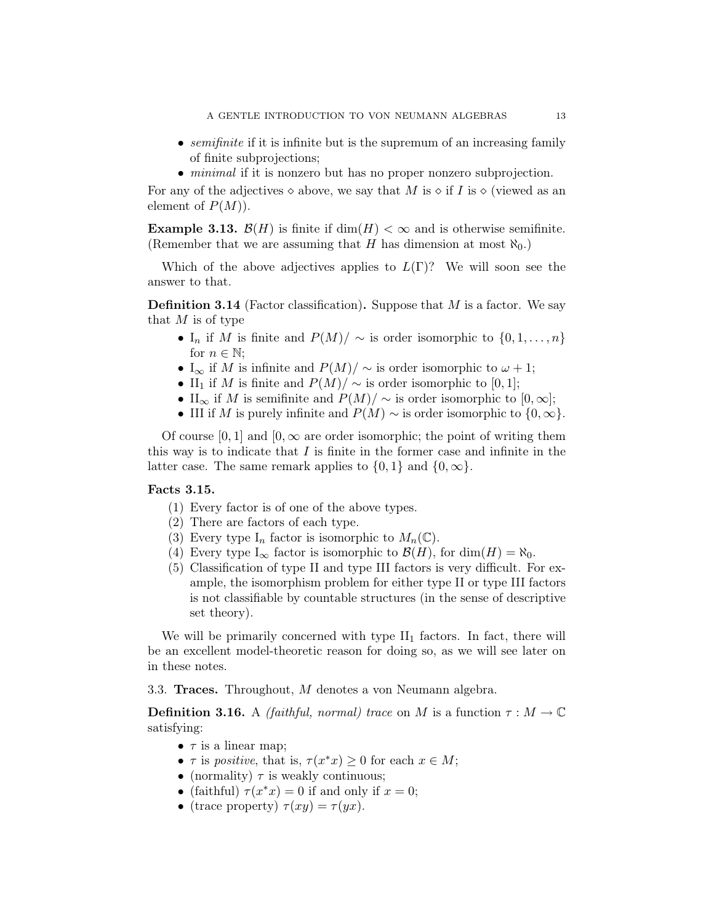- semifinite if it is infinite but is the supremum of an increasing family of finite subprojections;
- minimal if it is nonzero but has no proper nonzero subprojection.

For any of the adjectives  $\diamond$  above, we say that M is  $\diamond$  if I is  $\diamond$  (viewed as an element of  $P(M)$ ).

**Example 3.13.**  $\mathcal{B}(H)$  is finite if  $\dim(H) < \infty$  and is otherwise semifinite. (Remember that we are assuming that H has dimension at most  $\aleph_0$ .)

Which of the above adjectives applies to  $L(\Gamma)$ ? We will soon see the answer to that.

**Definition 3.14** (Factor classification). Suppose that  $M$  is a factor. We say that  $M$  is of type

- I<sub>n</sub> if M is finite and  $P(M)/\sim$  is order isomorphic to  $\{0, 1, \ldots, n\}$ for  $n \in \mathbb{N}$ ;
- I<sub>∞</sub> if M is infinite and  $P(M)/\sim$  is order isomorphic to  $\omega + 1$ ;
- II<sub>1</sub> if M is finite and  $P(M)/\sim$  is order isomorphic to [0, 1];
- II<sub>∞</sub> if M is semifinite and  $P(M)/\sim$  is order isomorphic to [0, ∞];
- III if M is purely infinite and  $P(M) \sim$  is order isomorphic to  $\{0,\infty\}.$

Of course [0, 1] and  $[0, \infty]$  are order isomorphic; the point of writing them this way is to indicate that  $I$  is finite in the former case and infinite in the latter case. The same remark applies to  $\{0, 1\}$  and  $\{0, \infty\}$ .

## Facts 3.15.

- (1) Every factor is of one of the above types.
- (2) There are factors of each type.
- (3) Every type  $I_n$  factor is isomorphic to  $M_n(\mathbb{C})$ .
- (4) Every type  $I_{\infty}$  factor is isomorphic to  $\mathcal{B}(H)$ , for  $\dim(H) = \aleph_0$ .
- (5) Classification of type II and type III factors is very difficult. For example, the isomorphism problem for either type II or type III factors is not classifiable by countable structures (in the sense of descriptive set theory).

We will be primarily concerned with type  $II_1$  factors. In fact, there will be an excellent model-theoretic reason for doing so, as we will see later on in these notes.

3.3. Traces. Throughout, M denotes a von Neumann algebra.

**Definition 3.16.** A *(faithful, normal)* trace on M is a function  $\tau : M \to \mathbb{C}$ satisfying:

- $\tau$  is a linear map;
- $\tau$  is positive, that is,  $\tau(x^*x) \geq 0$  for each  $x \in M$ ;
- (normality)  $\tau$  is weakly continuous;
- (faithful)  $\tau(x^*x) = 0$  if and only if  $x = 0$ ;
- (trace property)  $\tau(xy) = \tau(yx)$ .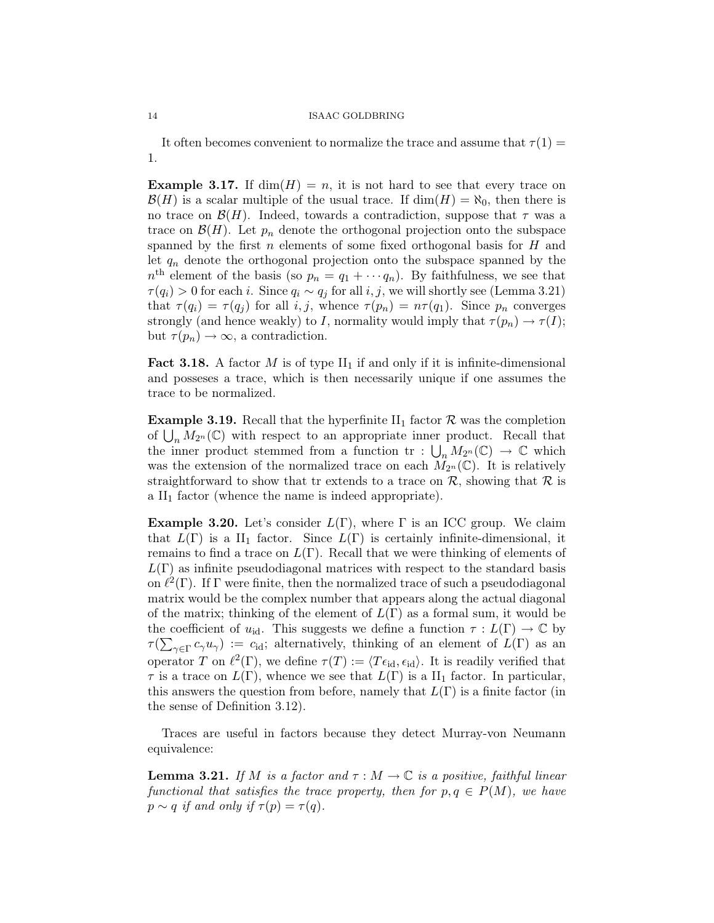It often becomes convenient to normalize the trace and assume that  $\tau(1) =$ 1.

**Example 3.17.** If  $dim(H) = n$ , it is not hard to see that every trace on  $\mathcal{B}(H)$  is a scalar multiple of the usual trace. If  $\dim(H) = \aleph_0$ , then there is no trace on  $\mathcal{B}(H)$ . Indeed, towards a contradiction, suppose that  $\tau$  was a trace on  $\mathcal{B}(H)$ . Let  $p_n$  denote the orthogonal projection onto the subspace spanned by the first  $n$  elements of some fixed orthogonal basis for  $H$  and let  $q_n$  denote the orthogonal projection onto the subspace spanned by the  $n<sup>th</sup>$  element of the basis (so  $p_n = q_1 + \cdots + q_n$ ). By faithfulness, we see that  $\tau(q_i) > 0$  for each i. Since  $q_i \sim q_j$  for all i, j, we will shortly see (Lemma 3.21) that  $\tau(q_i) = \tau(q_j)$  for all i, j, whence  $\tau(p_n) = n\tau(q_1)$ . Since  $p_n$  converges strongly (and hence weakly) to I, normality would imply that  $\tau(p_n) \to \tau(I);$ but  $\tau(p_n) \to \infty$ , a contradiction.

**Fact 3.18.** A factor M is of type  $II_1$  if and only if it is infinite-dimensional and posseses a trace, which is then necessarily unique if one assumes the trace to be normalized.

**Example 3.19.** Recall that the hyperfinite  $II_1$  factor  $\mathcal{R}$  was the completion of  $\bigcup_n M_{2^n}(\mathbb{C})$  with respect to an appropriate inner product. Recall that the inner product stemmed from a function tr :  $\bigcup_n M_{2^n}(\mathbb{C}) \to \mathbb{C}$  which was the extension of the normalized trace on each  $M_{2^n}(\mathbb{C})$ . It is relatively straightforward to show that tr extends to a trace on  $R$ , showing that  $R$  is a  $II_1$  factor (whence the name is indeed appropriate).

**Example 3.20.** Let's consider  $L(\Gamma)$ , where  $\Gamma$  is an ICC group. We claim that  $L(\Gamma)$  is a II<sub>1</sub> factor. Since  $L(\Gamma)$  is certainly infinite-dimensional, it remains to find a trace on  $L(\Gamma)$ . Recall that we were thinking of elements of  $L(\Gamma)$  as infinite pseudodiagonal matrices with respect to the standard basis on  $\ell^2(\Gamma)$ . If  $\Gamma$  were finite, then the normalized trace of such a pseudodiagonal matrix would be the complex number that appears along the actual diagonal of the matrix; thinking of the element of  $L(\Gamma)$  as a formal sum, it would be the coefficient of  $u_{\text{id}}$ . This suggests we define a function  $\tau : L(\Gamma) \to \mathbb{C}$  by  $\tau(\sum_{\gamma \in \Gamma} c_{\gamma} u_{\gamma}) := c_{\text{id}}$ ; alternatively, thinking of an element of  $L(\Gamma)$  as an operator T on  $\ell^2(\Gamma)$ , we define  $\tau(T) := \langle T \epsilon_{\text{id}}, \epsilon_{\text{id}} \rangle$ . It is readily verified that  $\tau$  is a trace on  $L(\Gamma)$ , whence we see that  $L(\Gamma)$  is a  $\text{II}_1$  factor. In particular, this answers the question from before, namely that  $L(\Gamma)$  is a finite factor (in the sense of Definition 3.12).

Traces are useful in factors because they detect Murray-von Neumann equivalence:

**Lemma 3.21.** If M is a factor and  $\tau : M \to \mathbb{C}$  is a positive, faithful linear functional that satisfies the trace property, then for  $p, q \in P(M)$ , we have  $p \sim q$  if and only if  $\tau(p) = \tau(q)$ .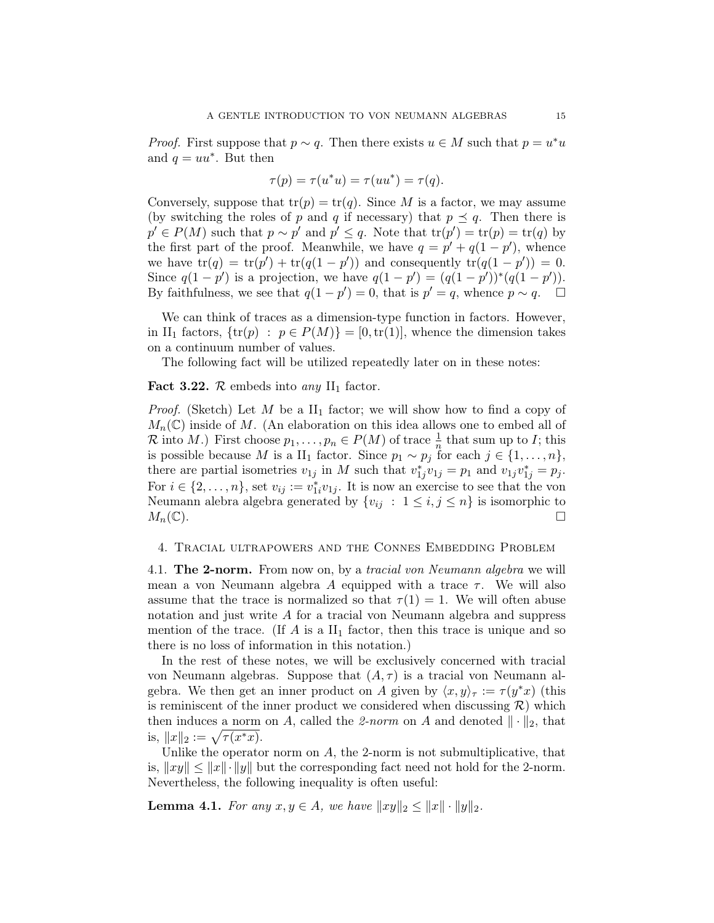*Proof.* First suppose that  $p \sim q$ . Then there exists  $u \in M$  such that  $p = u^*u$ and  $q = uu^*$ . But then

$$
\tau(p) = \tau(u^*u) = \tau(uu^*) = \tau(q).
$$

Conversely, suppose that  $tr(p) = tr(q)$ . Since M is a factor, we may assume (by switching the roles of p and q if necessary) that  $p \preceq q$ . Then there is  $p' \in P(M)$  such that  $p \sim p'$  and  $p' \leq q$ . Note that  $tr(p') = tr(p) = tr(q)$  by the first part of the proof. Meanwhile, we have  $q = p' + q(1 - p')$ , whence we have  $tr(q) = tr(p') + tr(q(1 - p'))$  and consequently  $tr(q(1 - p')) = 0$ . Since  $q(1-p')$  is a projection, we have  $q(1-p') = (q(1-p'))^*(q(1-p')).$ By faithfulness, we see that  $q(1-p')=0$ , that is  $p'=q$ , whence  $p \sim q$ .  $\Box$ 

We can think of traces as a dimension-type function in factors. However, in II<sub>1</sub> factors,  $\{tr(p) : p \in P(M)\} = [0, tr(1)],$  whence the dimension takes on a continuum number of values.

The following fact will be utilized repeatedly later on in these notes:

Fact 3.22.  $\mathcal{R}$  embeds into any II<sub>1</sub> factor.

*Proof.* (Sketch) Let M be a  $II_1$  factor; we will show how to find a copy of  $M_n(\mathbb{C})$  inside of M. (An elaboration on this idea allows one to embed all of R into M.) First choose  $p_1, \ldots, p_n \in P(M)$  of trace  $\frac{1}{n}$  that sum up to I; this is possible because M is a II<sub>1</sub> factor. Since  $p_1 \sim p_j$  for each  $j \in \{1, \ldots, n\}$ , there are partial isometries  $v_{1j}$  in M such that  $v_{1j}^*v_{1j} = p_1$  and  $v_{1j}v_{1j}^* = p_j$ . For  $i \in \{2, \ldots, n\}$ , set  $v_{ij} := v_{1i}^* v_{1j}$ . It is now an exercise to see that the von Neumann alebra algebra generated by  $\{v_{ij} : 1 \le i, j \le n\}$  is isomorphic to  $M_n(\mathbb{C})$ .

## 4. Tracial ultrapowers and the Connes Embedding Problem

4.1. The 2-norm. From now on, by a tracial von Neumann algebra we will mean a von Neumann algebra A equipped with a trace  $\tau$ . We will also assume that the trace is normalized so that  $\tau(1) = 1$ . We will often abuse notation and just write A for a tracial von Neumann algebra and suppress mention of the trace. (If  $A$  is a  $II_1$  factor, then this trace is unique and so there is no loss of information in this notation.)

In the rest of these notes, we will be exclusively concerned with tracial von Neumann algebras. Suppose that  $(A, \tau)$  is a tracial von Neumann algebra. We then get an inner product on A given by  $\langle x, y \rangle_{\tau} := \tau (y^*x)$  (this is reminiscent of the inner product we considered when discussing  $\mathcal{R}$ ) which then induces a norm on A, called the 2-norm on A and denoted  $\|\cdot\|_2$ , that is,  $||x||_2 := \sqrt{\tau(x^*x)}$ .

Unlike the operator norm on  $A$ , the 2-norm is not submultiplicative, that is,  $||xy|| \le ||x|| \cdot ||y||$  but the corresponding fact need not hold for the 2-norm. Nevertheless, the following inequality is often useful:

**Lemma 4.1.** For any  $x, y \in A$ , we have  $||xy||_2 \le ||x|| \cdot ||y||_2$ .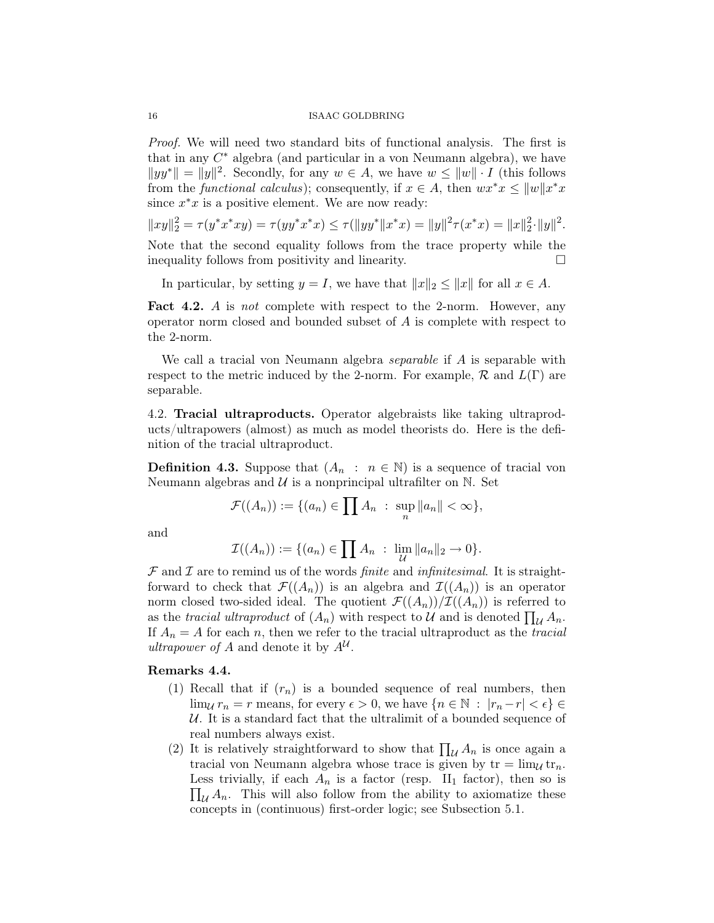Proof. We will need two standard bits of functional analysis. The first is that in any  $C^*$  algebra (and particular in a von Neumann algebra), we have  $||yy^*|| = ||y||^2$ . Secondly, for any  $w \in A$ , we have  $w \le ||w|| \cdot I$  (this follows from the *functional calculus*); consequently, if  $x \in A$ , then  $wx^*x \le ||w||x^*x$ since  $x^*x$  is a positive element. We are now ready:

$$
||xy||_2^2 = \tau(y^*x^*xy) = \tau(yy^*x^*x) \le \tau(||yy^*||x^*x) = ||y||^2 \tau(x^*x) = ||x||_2^2 \cdot ||y||^2.
$$

Note that the second equality follows from the trace property while the inequality follows from positivity and linearity.

In particular, by setting  $y = I$ , we have that  $||x||_2 < ||x||$  for all  $x \in A$ .

Fact 4.2. A is not complete with respect to the 2-norm. However, any operator norm closed and bounded subset of A is complete with respect to the 2-norm.

We call a tracial von Neumann algebra *separable* if A is separable with respect to the metric induced by the 2-norm. For example,  $\mathcal{R}$  and  $L(\Gamma)$  are separable.

4.2. Tracial ultraproducts. Operator algebraists like taking ultraproducts/ultrapowers (almost) as much as model theorists do. Here is the definition of the tracial ultraproduct.

**Definition 4.3.** Suppose that  $(A_n : n \in \mathbb{N})$  is a sequence of tracial von Neumann algebras and  $\mathcal U$  is a nonprincipal ultrafilter on N. Set

$$
\mathcal{F}((A_n)) := \{(a_n) \in \prod A_n : \sup_n ||a_n|| < \infty\},\
$$

and

$$
\mathcal{I}((A_n)) := \{(a_n) \in \prod A_n : \lim_{\mathcal{U}} ||a_n||_2 \to 0\}.
$$

 $\mathcal F$  and  $\mathcal I$  are to remind us of the words *finite* and *infinitesimal*. It is straightforward to check that  $\mathcal{F}((A_n))$  is an algebra and  $\mathcal{I}((A_n))$  is an operator norm closed two-sided ideal. The quotient  $\mathcal{F}((A_n))/\mathcal{I}((A_n))$  is referred to as the tracial ultraproduct of  $(A_n)$  with respect to U and is denoted  $\prod_{\mathcal{U}} A_n$ . If  $A_n = A$  for each n, then we refer to the tracial ultraproduct as the tracial ultrapower of A and denote it by  $A^{\mathcal{U}}$ .

# Remarks 4.4.

- (1) Recall that if  $(r_n)$  is a bounded sequence of real numbers, then  $\lim_{\mathcal{U}} r_n = r$  means, for every  $\epsilon > 0$ , we have  $\{n \in \mathbb{N} : |r_n - r| < \epsilon\} \in$  $U$ . It is a standard fact that the ultralimit of a bounded sequence of real numbers always exist.
- (2) It is relatively straightforward to show that  $\prod_{\mathcal{U}} A_n$  is once again a tracial von Neumann algebra whose trace is given by  $tr = \lim_{\mathcal{U}} tr_n$ .  $\prod_{\mathcal{U}} A_n$ . This will also follow from the ability to axiomatize these Less trivially, if each  $A_n$  is a factor (resp. II<sub>1</sub> factor), then so is concepts in (continuous) first-order logic; see Subsection 5.1.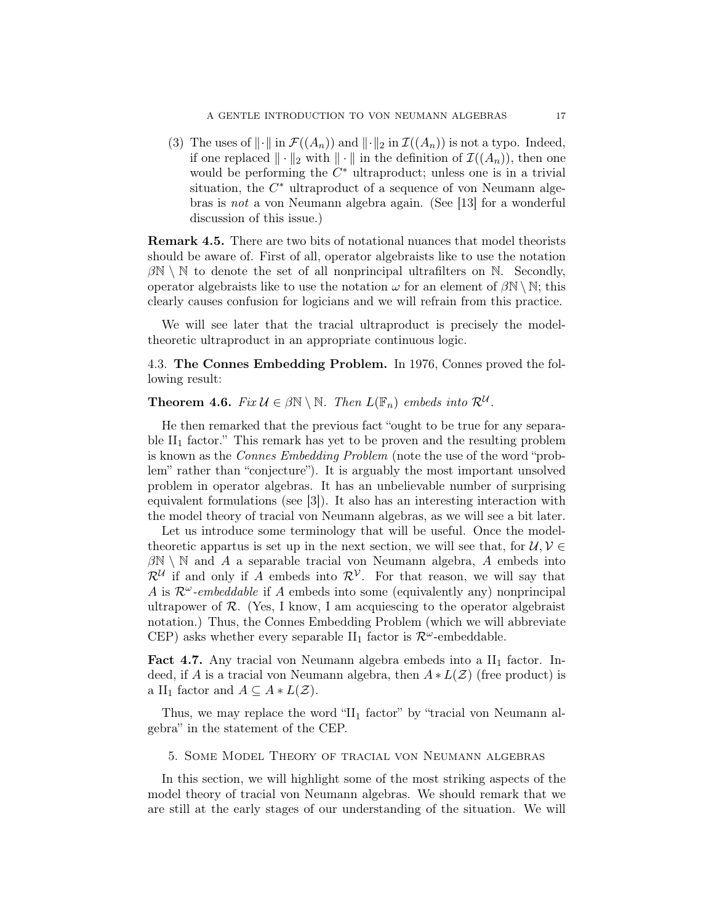(3) The uses of  $\|\cdot\|$  in  $\mathcal{F}((A_n))$  and  $\|\cdot\|_2$  in  $\mathcal{I}((A_n))$  is not a typo. Indeed, if one replaced  $\|\cdot\|_2$  with  $\|\cdot\|$  in the definition of  $\mathcal{I}((A_n))$ , then one would be performing the  $C^*$  ultraproduct; unless one is in a trivial situation, the  $C^*$  ultraproduct of a sequence of von Neumann algebras is not a von Neumann algebra again. (See [13] for a wonderful discussion of this issue.)

Remark 4.5. There are two bits of notational nuances that model theorists should be aware of. First of all, operator algebraists like to use the notation  $\beta\mathbb{N}\setminus\mathbb{N}$  to denote the set of all nonprincipal ultrafilters on  $\mathbb{N}$ . Secondly, operator algebraists like to use the notation  $\omega$  for an element of  $\beta\mathbb{N}\setminus\mathbb{N}$ ; this clearly causes confusion for logicians and we will refrain from this practice.

We will see later that the tracial ultraproduct is precisely the modeltheoretic ultraproduct in an appropriate continuous logic.

4.3. The Connes Embedding Problem. In 1976, Connes proved the following result:

**Theorem 4.6.** Fix  $\mathcal{U} \in \beta \mathbb{N} \setminus \mathbb{N}$ . Then  $L(\mathbb{F}_n)$  embeds into  $\mathcal{R}^{\mathcal{U}}$ .

He then remarked that the previous fact "ought to be true for any separable  $II_1$  factor." This remark has yet to be proven and the resulting problem is known as the Connes Embedding Problem (note the use of the word "problem" rather than "conjecture"). It is arguably the most important unsolved problem in operator algebras. It has an unbelievable number of surprising equivalent formulations (see [3]). It also has an interesting interaction with the model theory of tracial von Neumann algebras, as we will see a bit later.

Let us introduce some terminology that will be useful. Once the modeltheoretic appartus is set up in the next section, we will see that, for  $\mathcal{U}, \mathcal{V} \in$  $\beta\mathbb{N}\setminus\mathbb{N}$  and A a separable tracial von Neumann algebra, A embeds into  $\mathcal{R}^{\mathcal{U}}$  if and only if A embeds into  $\mathcal{R}^{\mathcal{V}}$ . For that reason, we will say that A is  $\mathcal{R}^{\omega}$ -embeddable if A embeds into some (equivalently any) nonprincipal ultrapower of  $\mathcal{R}$ . (Yes, I know, I am acquiescing to the operator algebraist notation.) Thus, the Connes Embedding Problem (which we will abbreviate CEP) asks whether every separable II<sub>1</sub> factor is  $\mathcal{R}^{\omega}$ -embeddable.

**Fact 4.7.** Any tracial von Neumann algebra embeds into a  $II_1$  factor. Indeed, if A is a tracial von Neumann algebra, then  $A * L(\mathcal{Z})$  (free product) is a II<sub>1</sub> factor and  $A \subseteq A * L(\mathcal{Z})$ .

Thus, we may replace the word " $II_1$  factor" by "tracial von Neumann algebra" in the statement of the CEP.

5. Some Model Theory of tracial von Neumann algebras

In this section, we will highlight some of the most striking aspects of the model theory of tracial von Neumann algebras. We should remark that we are still at the early stages of our understanding of the situation. We will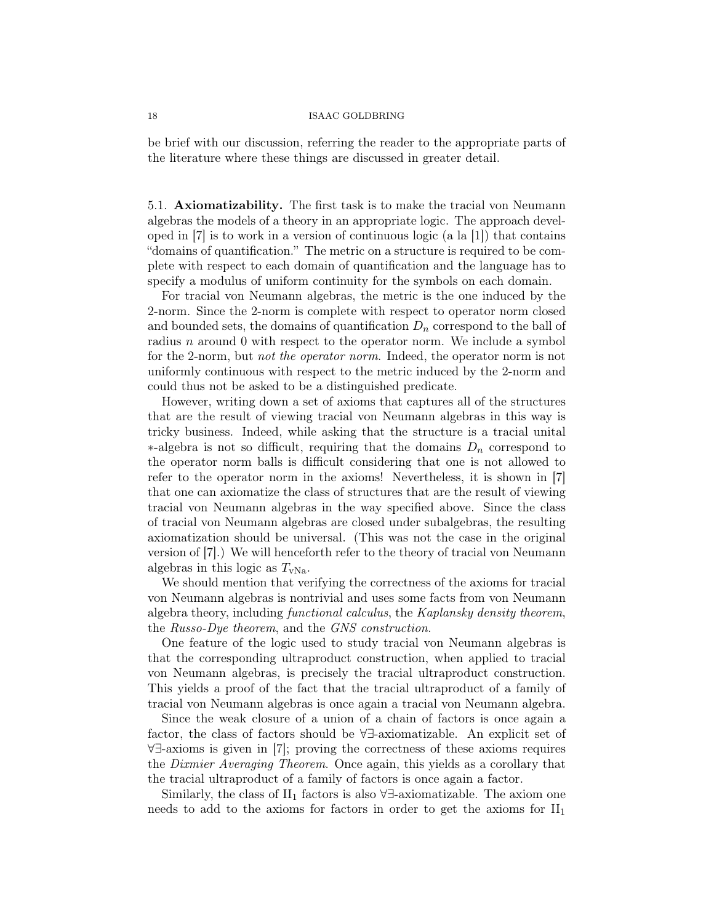be brief with our discussion, referring the reader to the appropriate parts of the literature where these things are discussed in greater detail.

5.1. Axiomatizability. The first task is to make the tracial von Neumann algebras the models of a theory in an appropriate logic. The approach developed in  $[7]$  is to work in a version of continuous logic (a la  $[1]$ ) that contains "domains of quantification." The metric on a structure is required to be complete with respect to each domain of quantification and the language has to specify a modulus of uniform continuity for the symbols on each domain.

For tracial von Neumann algebras, the metric is the one induced by the 2-norm. Since the 2-norm is complete with respect to operator norm closed and bounded sets, the domains of quantification  $D_n$  correspond to the ball of radius n around 0 with respect to the operator norm. We include a symbol for the 2-norm, but not the operator norm. Indeed, the operator norm is not uniformly continuous with respect to the metric induced by the 2-norm and could thus not be asked to be a distinguished predicate.

However, writing down a set of axioms that captures all of the structures that are the result of viewing tracial von Neumann algebras in this way is tricky business. Indeed, while asking that the structure is a tracial unital  $*$ -algebra is not so difficult, requiring that the domains  $D_n$  correspond to the operator norm balls is difficult considering that one is not allowed to refer to the operator norm in the axioms! Nevertheless, it is shown in [7] that one can axiomatize the class of structures that are the result of viewing tracial von Neumann algebras in the way specified above. Since the class of tracial von Neumann algebras are closed under subalgebras, the resulting axiomatization should be universal. (This was not the case in the original version of [7].) We will henceforth refer to the theory of tracial von Neumann algebras in this logic as  $T_{\rm vNa}$ .

We should mention that verifying the correctness of the axioms for tracial von Neumann algebras is nontrivial and uses some facts from von Neumann algebra theory, including functional calculus, the Kaplansky density theorem, the Russo-Dye theorem, and the GNS construction.

One feature of the logic used to study tracial von Neumann algebras is that the corresponding ultraproduct construction, when applied to tracial von Neumann algebras, is precisely the tracial ultraproduct construction. This yields a proof of the fact that the tracial ultraproduct of a family of tracial von Neumann algebras is once again a tracial von Neumann algebra.

Since the weak closure of a union of a chain of factors is once again a factor, the class of factors should be ∀∃-axiomatizable. An explicit set of ∀∃-axioms is given in [7]; proving the correctness of these axioms requires the Dixmier Averaging Theorem. Once again, this yields as a corollary that the tracial ultraproduct of a family of factors is once again a factor.

Similarly, the class of  $II_1$  factors is also ∀∃-axiomatizable. The axiom one needs to add to the axioms for factors in order to get the axioms for  $II_1$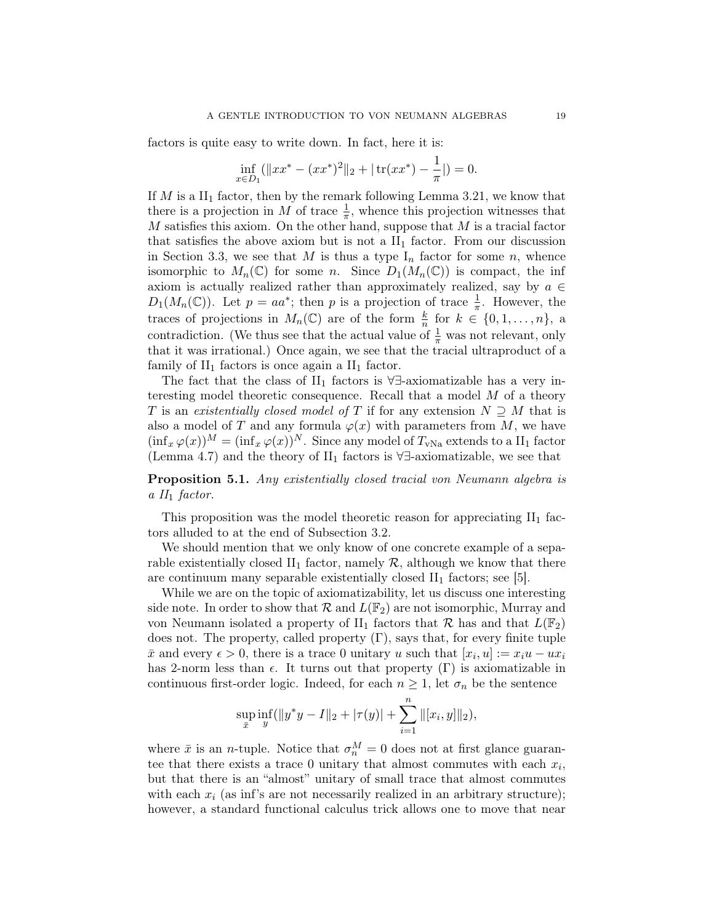factors is quite easy to write down. In fact, here it is:

$$
\inf_{x \in D_1} (\|xx^* - (xx^*)^2\|_2 + |\operatorname{tr}(xx^*) - \frac{1}{\pi}|) = 0.
$$

If M is a  $II_1$  factor, then by the remark following Lemma 3.21, we know that there is a projection in M of trace  $\frac{1}{\pi}$ , whence this projection witnesses that  $M$  satisfies this axiom. On the other hand, suppose that  $M$  is a tracial factor that satisfies the above axiom but is not a  $II_1$  factor. From our discussion in Section 3.3, we see that M is thus a type  $I_n$  factor for some n, whence isomorphic to  $M_n(\mathbb{C})$  for some n. Since  $D_1(M_n(\mathbb{C}))$  is compact, the inf axiom is actually realized rather than approximately realized, say by  $a \in$  $D_1(M_n(\mathbb{C}))$ . Let  $p = aa^*$ ; then p is a projection of trace  $\frac{1}{\pi}$ . However, the traces of projections in  $M_n(\mathbb{C})$  are of the form  $\frac{k}{n}$  for  $k \in \{0, 1, ..., n\}$ , a contradiction. (We thus see that the actual value of  $\frac{1}{\pi}$  was not relevant, only that it was irrational.) Once again, we see that the tracial ultraproduct of a family of  $II_1$  factors is once again a  $II_1$  factor.

The fact that the class of II<sub>1</sub> factors is  $\forall \exists$ -axiomatizable has a very interesting model theoretic consequence. Recall that a model M of a theory T is an existentially closed model of T if for any extension  $N \supseteq M$  that is also a model of T and any formula  $\varphi(x)$  with parameters from M, we have  $(\inf_x \varphi(x))^M = (\inf_x \varphi(x))^N$ . Since any model of  $T_{\text{vNa}}$  extends to a II<sub>1</sub> factor (Lemma 4.7) and the theory of  $II_1$  factors is  $\forall \exists$ -axiomatizable, we see that

Proposition 5.1. Any existentially closed tracial von Neumann algebra is a  $II_1$  factor.

This proposition was the model theoretic reason for appreciating  $II_1$  factors alluded to at the end of Subsection 3.2.

We should mention that we only know of one concrete example of a separable existentially closed  $II_1$  factor, namely  $R$ , although we know that there are continuum many separable existentially closed  $II_1$  factors; see [5].

While we are on the topic of axiomatizability, let us discuss one interesting side note. In order to show that  $\mathcal{R}$  and  $L(\mathbb{F}_2)$  are not isomorphic, Murray and von Neumann isolated a property of II<sub>1</sub> factors that  $\mathcal{R}$  has and that  $L(\mathbb{F}_2)$ does not. The property, called property  $(\Gamma)$ , says that, for every finite tuple  $\bar{x}$  and every  $\epsilon > 0$ , there is a trace 0 unitary u such that  $[x_i, u] := x_i u - u x_i$ has 2-norm less than  $\epsilon$ . It turns out that property  $(\Gamma)$  is axiomatizable in continuous first-order logic. Indeed, for each  $n \geq 1$ , let  $\sigma_n$  be the sentence

$$
\sup_{\bar{x}} \inf_{y} (\|y^*y - I\|_2 + |\tau(y)| + \sum_{i=1}^n \|[x_i, y]\|_2),
$$

where  $\bar{x}$  is an *n*-tuple. Notice that  $\sigma_n^M = 0$  does not at first glance guarantee that there exists a trace 0 unitary that almost commutes with each  $x_i$ , but that there is an "almost" unitary of small trace that almost commutes with each  $x_i$  (as inf's are not necessarily realized in an arbitrary structure); however, a standard functional calculus trick allows one to move that near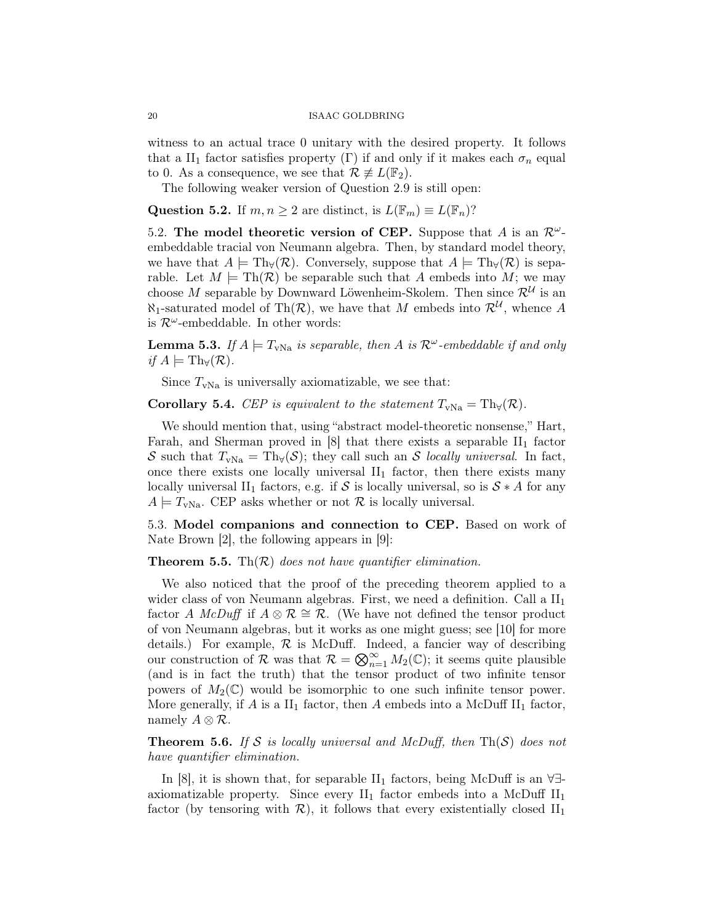witness to an actual trace 0 unitary with the desired property. It follows that a II<sub>1</sub> factor satisfies property (Γ) if and only if it makes each  $\sigma_n$  equal to 0. As a consequence, we see that  $\mathcal{R} \not\equiv L(\mathbb{F}_2)$ .

The following weaker version of Question 2.9 is still open:

Question 5.2. If  $m, n \geq 2$  are distinct, is  $L(\mathbb{F}_m) \equiv L(\mathbb{F}_n)$ ?

5.2. The model theoretic version of CEP. Suppose that A is an  $\mathcal{R}^{\omega}$ embeddable tracial von Neumann algebra. Then, by standard model theory, we have that  $A \models Th_{\forall}(\mathcal{R})$ . Conversely, suppose that  $A \models Th_{\forall}(\mathcal{R})$  is separable. Let  $M \models \text{Th}(\mathcal{R})$  be separable such that A embeds into M; we may choose M separable by Downward Löwenheim-Skolem. Then since  $\mathcal{R}^{\mathcal{U}}$  is an  $\aleph_1$ -saturated model of Th $(\mathcal{R})$ , we have that M embeds into  $\mathcal{R}^{\mathcal{U}}$ , whence A is  $\mathcal{R}^{\omega}$ -embeddable. In other words:

**Lemma 5.3.** If  $A \models T_{vNa}$  is separable, then A is  $\mathcal{R}^{\omega}$ -embeddable if and only if  $A \models \mathrm{Th}_{\forall}(\mathcal{R}).$ 

Since  $T_{\text{vNa}}$  is universally axiomatizable, we see that:

Corollary 5.4. CEP is equivalent to the statement  $T_{\text{vNa}} = \text{Th}_{\forall}(\mathcal{R})$ .

We should mention that, using "abstract model-theoretic nonsense," Hart, Farah, and Sherman proved in  $[8]$  that there exists a separable  $II_1$  factor S such that  $T_{vNa} = Th_v(S)$ ; they call such an S locally universal. In fact, once there exists one locally universal  $II_1$  factor, then there exists many locally universal II<sub>1</sub> factors, e.g. if S is locally universal, so is  $S * A$  for any  $A \models T_{\text{vNa}}$ . CEP asks whether or not  $\mathcal R$  is locally universal.

5.3. Model companions and connection to CEP. Based on work of Nate Brown [2], the following appears in [9]:

## **Theorem 5.5.** Th $(\mathcal{R})$  does not have quantifier elimination.

We also noticed that the proof of the preceding theorem applied to a wider class of von Neumann algebras. First, we need a definition. Call a  $II_1$ factor A McDuff if  $A \otimes \mathcal{R} \cong \mathcal{R}$ . (We have not defined the tensor product of von Neumann algebras, but it works as one might guess; see [10] for more details.) For example,  $\mathcal R$  is McDuff. Indeed, a fancier way of describing our construction of  $\mathcal R$  was that  $\mathcal R = \bigotimes_{n=1}^{\infty} M_2(\mathbb C)$ ; it seems quite plausible (and is in fact the truth) that the tensor product of two infinite tensor powers of  $M_2(\mathbb{C})$  would be isomorphic to one such infinite tensor power. More generally, if A is a  $II_1$  factor, then A embeds into a McDuff  $II_1$  factor, namely  $A \otimes \mathcal{R}$ .

**Theorem 5.6.** If S is locally universal and McDuff, then  $Th(\mathcal{S})$  does not have quantifier elimination.

In [8], it is shown that, for separable II<sub>1</sub> factors, being McDuff is an  $\forall \exists$ axiomatizable property. Since every  $II_1$  factor embeds into a McDuff  $II_1$ factor (by tensoring with  $\mathcal{R}$ ), it follows that every existentially closed  $II_1$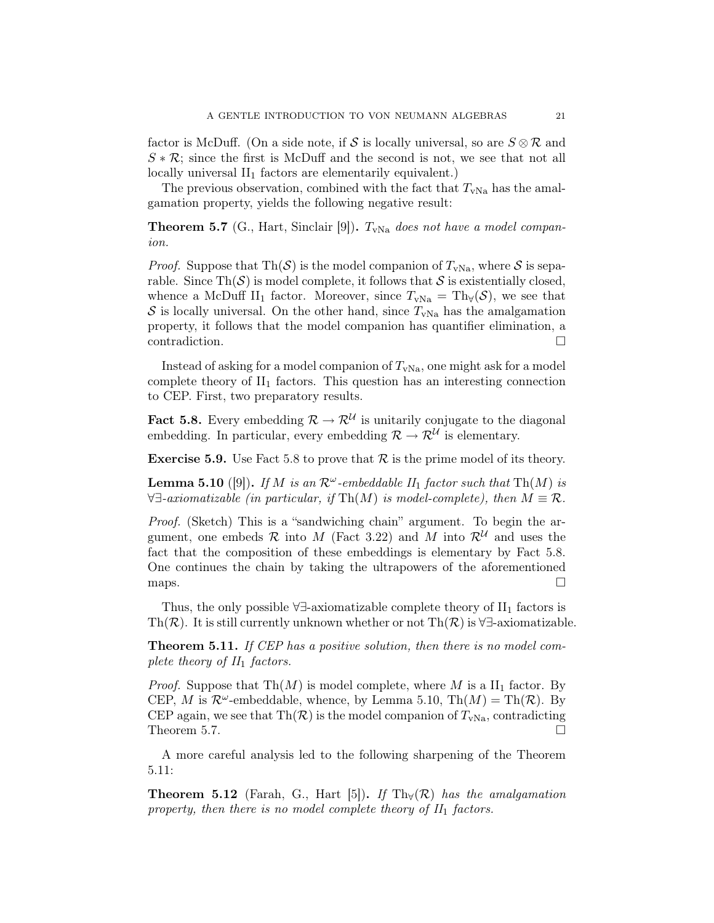factor is McDuff. (On a side note, if S is locally universal, so are  $S \otimes \mathcal{R}$  and  $S * \mathcal{R}$ ; since the first is McDuff and the second is not, we see that not all locally universal  $II_1$  factors are elementarily equivalent.)

The previous observation, combined with the fact that  $T_{\rm vNa}$  has the amalgamation property, yields the following negative result:

**Theorem 5.7** (G., Hart, Sinclair [9]).  $T_{vNa}$  does not have a model companion.

*Proof.* Suppose that Th $(\mathcal{S})$  is the model companion of  $T_{\text{vNa}}$ , where  $\mathcal{S}$  is separable. Since  $\text{Th}(\mathcal{S})$  is model complete, it follows that  $\mathcal{S}$  is existentially closed, whence a McDuff II<sub>1</sub> factor. Moreover, since  $T_{vNa} = Th_v(S)$ , we see that S is locally universal. On the other hand, since  $T_{\text{vNa}}$  has the amalgamation property, it follows that the model companion has quantifier elimination, a contradiction.

Instead of asking for a model companion of  $T_{\text{vNa}}$ , one might ask for a model complete theory of  $II_1$  factors. This question has an interesting connection to CEP. First, two preparatory results.

**Fact 5.8.** Every embedding  $\mathcal{R} \to \mathcal{R}^{\mathcal{U}}$  is unitarily conjugate to the diagonal embedding. In particular, every embedding  $\mathcal{R} \to \mathcal{R}^{\mathcal{U}}$  is elementary.

**Exercise 5.9.** Use Fact 5.8 to prove that  $\mathcal{R}$  is the prime model of its theory.

**Lemma 5.10** ([9]). If M is an  $\mathcal{R}^{\omega}$ -embeddable  $II_1$  factor such that  $Th(M)$  is  $\forall \exists\text{-}axiomaticable (in particular, if Th(M) is model-complete), then  $M \equiv \mathcal{R}$ .$ 

Proof. (Sketch) This is a "sandwiching chain" argument. To begin the argument, one embeds  $\mathcal R$  into  $M$  (Fact 3.22) and  $M$  into  $\mathcal R^{\mathcal U}$  and uses the fact that the composition of these embeddings is elementary by Fact 5.8. One continues the chain by taking the ultrapowers of the aforementioned maps.  $\Box$ 

Thus, the only possible  $\forall \exists$ -axiomatizable complete theory of  $II_1$  factors is Th( $\mathcal{R}$ ). It is still currently unknown whether or not Th( $\mathcal{R}$ ) is  $\forall \exists$ -axiomatizable.

Theorem 5.11. If CEP has a positive solution, then there is no model complete theory of  $II_1$  factors.

*Proof.* Suppose that  $Th(M)$  is model complete, where M is a  $II<sub>1</sub>$  factor. By CEP, M is  $\mathcal{R}^{\omega}$ -embeddable, whence, by Lemma 5.10, Th $(M) = Th(\mathcal{R})$ . By CEP again, we see that Th $(\mathcal{R})$  is the model companion of  $T_{\text{vNa}}$ , contradicting Theorem 5.7.  $\Box$ 

A more careful analysis led to the following sharpening of the Theorem 5.11:

**Theorem 5.12** (Farah, G., Hart [5]). If  $Th_v(\mathcal{R})$  has the amalgamation property, then there is no model complete theory of  $II_1$  factors.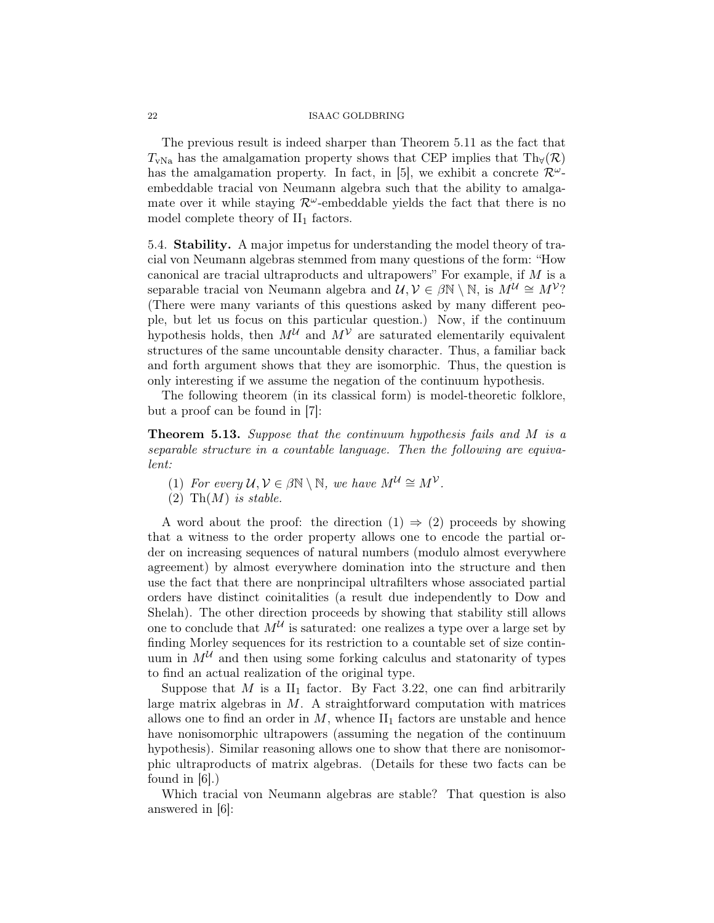The previous result is indeed sharper than Theorem 5.11 as the fact that  $T_{\text{vNa}}$  has the amalgamation property shows that CEP implies that Th $_{\forall}(\mathcal{R})$ has the amalgamation property. In fact, in [5], we exhibit a concrete  $\mathcal{R}^{\omega}$ embeddable tracial von Neumann algebra such that the ability to amalgamate over it while staying  $\mathcal{R}^{\omega}$ -embeddable yields the fact that there is no model complete theory of  $II_1$  factors.

5.4. Stability. A major impetus for understanding the model theory of tracial von Neumann algebras stemmed from many questions of the form: "How canonical are tracial ultraproducts and ultrapowers" For example, if M is a separable tracial von Neumann algebra and  $\mathcal{U}, \mathcal{V} \in \beta \mathbb{N} \setminus \mathbb{N}$ , is  $M^{\mathcal{U}} \cong M^{\mathcal{V}}$ ? (There were many variants of this questions asked by many different people, but let us focus on this particular question.) Now, if the continuum hypothesis holds, then  $M^{\mathcal{U}}$  and  $M^{\mathcal{V}}$  are saturated elementarily equivalent structures of the same uncountable density character. Thus, a familiar back and forth argument shows that they are isomorphic. Thus, the question is only interesting if we assume the negation of the continuum hypothesis.

The following theorem (in its classical form) is model-theoretic folklore, but a proof can be found in [7]:

Theorem 5.13. Suppose that the continuum hypothesis fails and M is a separable structure in a countable language. Then the following are equivalent:

(1) For every  $\mathcal{U}, \mathcal{V} \in \beta \mathbb{N} \setminus \mathbb{N}$ , we have  $M^{\mathcal{U}} \cong M^{\mathcal{V}}$ .

(2) Th $(M)$  is stable.

A word about the proof: the direction  $(1) \Rightarrow (2)$  proceeds by showing that a witness to the order property allows one to encode the partial order on increasing sequences of natural numbers (modulo almost everywhere agreement) by almost everywhere domination into the structure and then use the fact that there are nonprincipal ultrafilters whose associated partial orders have distinct coinitalities (a result due independently to Dow and Shelah). The other direction proceeds by showing that stability still allows one to conclude that  $M^{\mathcal{U}}$  is saturated: one realizes a type over a large set by finding Morley sequences for its restriction to a countable set of size continuum in  $M^{\mathcal{U}}$  and then using some forking calculus and statonarity of types to find an actual realization of the original type.

Suppose that  $M$  is a  $II_1$  factor. By Fact 3.22, one can find arbitrarily large matrix algebras in  $M$ . A straightforward computation with matrices allows one to find an order in  $M$ , whence  $II_1$  factors are unstable and hence have nonisomorphic ultrapowers (assuming the negation of the continuum hypothesis). Similar reasoning allows one to show that there are nonisomorphic ultraproducts of matrix algebras. (Details for these two facts can be found in [6].)

Which tracial von Neumann algebras are stable? That question is also answered in [6]: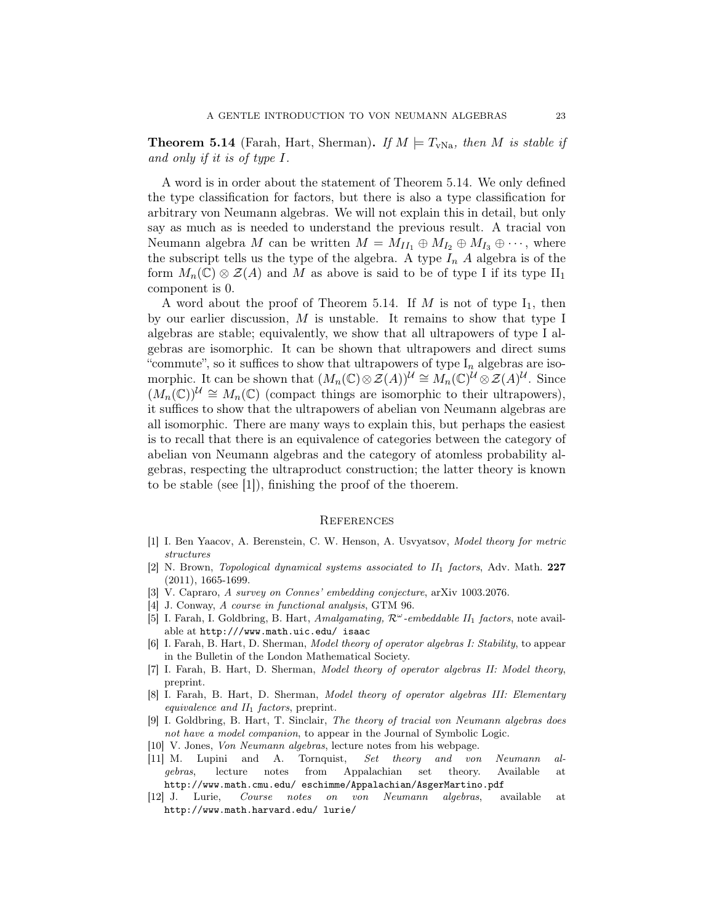**Theorem 5.14** (Farah, Hart, Sherman). If  $M \models T_{vNa}$ , then M is stable if and only if it is of type I.

A word is in order about the statement of Theorem 5.14. We only defined the type classification for factors, but there is also a type classification for arbitrary von Neumann algebras. We will not explain this in detail, but only say as much as is needed to understand the previous result. A tracial von Neumann algebra M can be written  $M = M_{II_1} \oplus M_{I_2} \oplus M_{I_3} \oplus \cdots$ , where the subscript tells us the type of the algebra. A type  $I_n$  A algebra is of the form  $M_n(\mathbb{C}) \otimes \mathcal{Z}(A)$  and M as above is said to be of type I if its type  $\text{II}_1$ component is 0.

A word about the proof of Theorem 5.14. If M is not of type  $I_1$ , then by our earlier discussion,  $M$  is unstable. It remains to show that type I algebras are stable; equivalently, we show that all ultrapowers of type I algebras are isomorphic. It can be shown that ultrapowers and direct sums "commute", so it suffices to show that ultrapowers of type  $I_n$  algebras are isomorphic. It can be shown that  $(M_n(\mathbb{C}) \otimes \mathcal{Z}(A))^{\mathcal{U}} \cong M_n(\mathbb{C})^{\mathcal{U}} \otimes \mathcal{Z}(A)^{\mathcal{U}}$ . Since  $(M_n(\mathbb{C}))^{\mathcal{U}} \cong M_n(\mathbb{C})$  (compact things are isomorphic to their ultrapowers), it suffices to show that the ultrapowers of abelian von Neumann algebras are all isomorphic. There are many ways to explain this, but perhaps the easiest is to recall that there is an equivalence of categories between the category of abelian von Neumann algebras and the category of atomless probability algebras, respecting the ultraproduct construction; the latter theory is known to be stable (see [1]), finishing the proof of the thoerem.

## **REFERENCES**

- [1] I. Ben Yaacov, A. Berenstein, C. W. Henson, A. Usvyatsov, Model theory for metric structures
- $[2]$  N. Brown, *Topological dynamical systems associated to*  $II_1$  *factors*, Adv. Math. 227 (2011), 1665-1699.
- [3] V. Capraro, A survey on Connes' embedding conjecture, arXiv 1003.2076.
- [4] J. Conway, A course in functional analysis, GTM 96.
- [5] I. Farah, I. Goldbring, B. Hart, Amalgamating,  $\mathcal{R}^{\omega}$ -embeddable II<sub>1</sub> factors, note available at http:///www.math.uic.edu/ isaac
- [6] I. Farah, B. Hart, D. Sherman, Model theory of operator algebras I: Stability, to appear in the Bulletin of the London Mathematical Society.
- [7] I. Farah, B. Hart, D. Sherman, Model theory of operator algebras II: Model theory, preprint.
- [8] I. Farah, B. Hart, D. Sherman, Model theory of operator algebras III: Elementary equivalence and  $II_1$  factors, preprint.
- [9] I. Goldbring, B. Hart, T. Sinclair, The theory of tracial von Neumann algebras does not have a model companion, to appear in the Journal of Symbolic Logic.
- [10] V. Jones, Von Neumann algebras, lecture notes from his webpage.
- [11] M. Lupini and A. Tornquist, Set theory and von Neumann algebras, lecture notes from Appalachian set theory. Available at http://www.math.cmu.edu/ eschimme/Appalachian/AsgerMartino.pdf
- [12] J. Lurie, Course notes on von Neumann algebras, available at http://www.math.harvard.edu/ lurie/